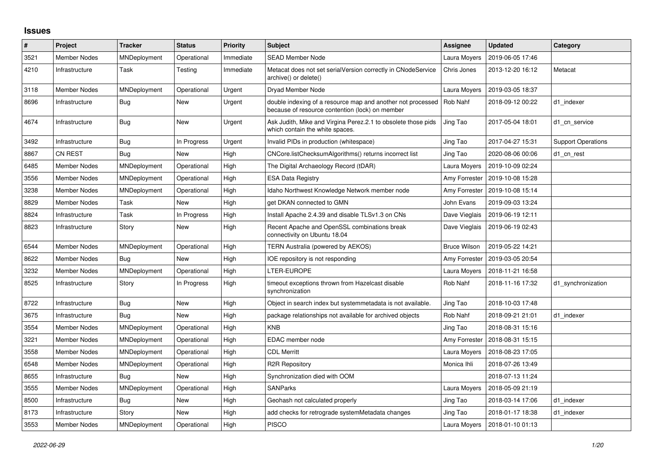## **Issues**

| $\sharp$ | Project             | <b>Tracker</b> | <b>Status</b> | <b>Priority</b> | <b>Subject</b>                                                                                                 | <b>Assignee</b>     | <b>Updated</b>   | Category                  |
|----------|---------------------|----------------|---------------|-----------------|----------------------------------------------------------------------------------------------------------------|---------------------|------------------|---------------------------|
| 3521     | <b>Member Nodes</b> | MNDeployment   | Operational   | Immediate       | <b>SEAD Member Node</b>                                                                                        | Laura Moyers        | 2019-06-05 17:46 |                           |
| 4210     | Infrastructure      | Task           | Testing       | Immediate       | Metacat does not set serialVersion correctly in CNodeService<br>archive() or delete()                          | Chris Jones         | 2013-12-20 16:12 | Metacat                   |
| 3118     | <b>Member Nodes</b> | MNDeployment   | Operational   | Urgent          | Dryad Member Node                                                                                              | Laura Moyers        | 2019-03-05 18:37 |                           |
| 8696     | Infrastructure      | Bug            | New           | Urgent          | double indexing of a resource map and another not processed<br>because of resource contention (lock) on member | Rob Nahf            | 2018-09-12 00:22 | d1 indexer                |
| 4674     | Infrastructure      | <b>Bug</b>     | <b>New</b>    | Urgent          | Ask Judith, Mike and Virgina Perez.2.1 to obsolete those pids<br>which contain the white spaces.               | Jing Tao            | 2017-05-04 18:01 | d1 cn service             |
| 3492     | Infrastructure      | Bug            | In Progress   | Urgent          | Invalid PIDs in production (whitespace)                                                                        | Jing Tao            | 2017-04-27 15:31 | <b>Support Operations</b> |
| 8867     | <b>CN REST</b>      | Bug            | New           | High            | CNCore.listChecksumAlgorithms() returns incorrect list                                                         | Jing Tao            | 2020-08-06 00:06 | d1 cn rest                |
| 6485     | Member Nodes        | MNDeployment   | Operational   | High            | The Digital Archaeology Record (tDAR)                                                                          | Laura Moyers        | 2019-10-09 02:24 |                           |
| 3556     | <b>Member Nodes</b> | MNDeployment   | Operational   | High            | <b>ESA Data Registry</b>                                                                                       | Amy Forrester       | 2019-10-08 15:28 |                           |
| 3238     | Member Nodes        | MNDeployment   | Operational   | High            | Idaho Northwest Knowledge Network member node                                                                  | Amy Forrester       | 2019-10-08 15:14 |                           |
| 8829     | <b>Member Nodes</b> | Task           | New           | High            | get DKAN connected to GMN                                                                                      | John Evans          | 2019-09-03 13:24 |                           |
| 8824     | Infrastructure      | Task           | In Progress   | High            | Install Apache 2.4.39 and disable TLSv1.3 on CNs                                                               | Dave Vieglais       | 2019-06-19 12:11 |                           |
| 8823     | Infrastructure      | Story          | New           | High            | Recent Apache and OpenSSL combinations break<br>connectivity on Ubuntu 18.04                                   | Dave Vieglais       | 2019-06-19 02:43 |                           |
| 6544     | Member Nodes        | MNDeployment   | Operational   | High            | TERN Australia (powered by AEKOS)                                                                              | <b>Bruce Wilson</b> | 2019-05-22 14:21 |                           |
| 8622     | <b>Member Nodes</b> | Bug            | New           | High            | IOE repository is not responding                                                                               | Amy Forrester       | 2019-03-05 20:54 |                           |
| 3232     | <b>Member Nodes</b> | MNDeployment   | Operational   | High            | LTER-EUROPE                                                                                                    | Laura Moyers        | 2018-11-21 16:58 |                           |
| 8525     | Infrastructure      | Story          | In Progress   | High            | timeout exceptions thrown from Hazelcast disable<br>synchronization                                            | Rob Nahf            | 2018-11-16 17:32 | d1 synchronization        |
| 8722     | Infrastructure      | <b>Bug</b>     | <b>New</b>    | High            | Object in search index but systemmetadata is not available.                                                    | Jing Tao            | 2018-10-03 17:48 |                           |
| 3675     | Infrastructure      | <b>Bug</b>     | <b>New</b>    | High            | package relationships not available for archived objects                                                       | Rob Nahf            | 2018-09-21 21:01 | d1 indexer                |
| 3554     | Member Nodes        | MNDeployment   | Operational   | High            | <b>KNB</b>                                                                                                     | Jing Tao            | 2018-08-31 15:16 |                           |
| 3221     | <b>Member Nodes</b> | MNDeployment   | Operational   | High            | EDAC member node                                                                                               | Amy Forrester       | 2018-08-31 15:15 |                           |
| 3558     | Member Nodes        | MNDeployment   | Operational   | High            | <b>CDL Merritt</b>                                                                                             | Laura Moyers        | 2018-08-23 17:05 |                           |
| 6548     | <b>Member Nodes</b> | MNDeployment   | Operational   | High            | R2R Repository                                                                                                 | Monica Ihli         | 2018-07-26 13:49 |                           |
| 8655     | Infrastructure      | Bug            | <b>New</b>    | High            | Synchronization died with OOM                                                                                  |                     | 2018-07-13 11:24 |                           |
| 3555     | <b>Member Nodes</b> | MNDeployment   | Operational   | High            | <b>SANParks</b>                                                                                                | Laura Moyers        | 2018-05-09 21:19 |                           |
| 8500     | Infrastructure      | <b>Bug</b>     | New           | High            | Geohash not calculated properly                                                                                | Jing Tao            | 2018-03-14 17:06 | d1 indexer                |
| 8173     | Infrastructure      | Story          | <b>New</b>    | High            | add checks for retrograde systemMetadata changes                                                               | Jing Tao            | 2018-01-17 18:38 | d1 indexer                |
| 3553     | <b>Member Nodes</b> | MNDeployment   | Operational   | High            | <b>PISCO</b>                                                                                                   | Laura Moyers        | 2018-01-10 01:13 |                           |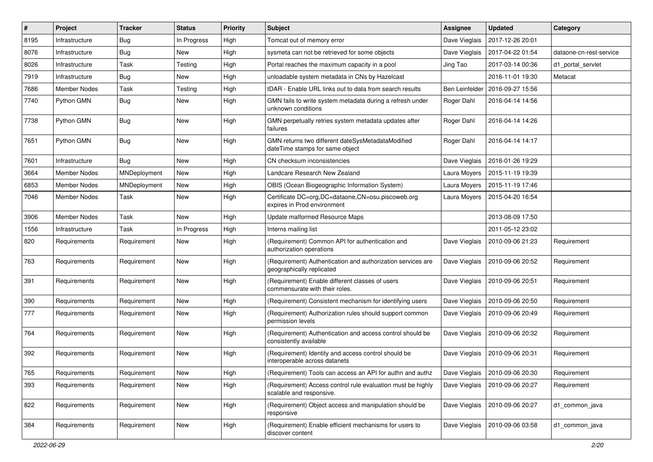| #    | Project             | <b>Tracker</b> | <b>Status</b> | <b>Priority</b> | Subject                                                                                  | <b>Assignee</b> | <b>Updated</b>   | Category                |
|------|---------------------|----------------|---------------|-----------------|------------------------------------------------------------------------------------------|-----------------|------------------|-------------------------|
| 8195 | Infrastructure      | Bug            | In Progress   | High            | Tomcat out of memory error                                                               | Dave Vieglais   | 2017-12-26 20:01 |                         |
| 8076 | Infrastructure      | <b>Bug</b>     | New           | High            | sysmeta can not be retrieved for some objects                                            | Dave Vieglais   | 2017-04-22 01:54 | dataone-cn-rest-service |
| 8026 | Infrastructure      | Task           | Testing       | High            | Portal reaches the maximum capacity in a pool                                            | Jing Tao        | 2017-03-14 00:36 | d1 portal servlet       |
| 7919 | Infrastructure      | <b>Bug</b>     | New           | High            | unloadable system metadata in CNs by Hazelcast                                           |                 | 2016-11-01 19:30 | Metacat                 |
| 7686 | Member Nodes        | Task           | Testing       | High            | tDAR - Enable URL links out to data from search results                                  | Ben Leinfelder  | 2016-09-27 15:56 |                         |
| 7740 | Python GMN          | Bug            | New           | High            | GMN fails to write system metadata during a refresh under<br>unknown conditions          | Roger Dahl      | 2016-04-14 14:56 |                         |
| 7738 | Python GMN          | Bug            | <b>New</b>    | High            | GMN perpetually retries system metadata updates after<br>failures                        | Roger Dahl      | 2016-04-14 14:26 |                         |
| 7651 | Python GMN          | <b>Bug</b>     | New           | High            | GMN returns two different dateSysMetadataModified<br>dateTime stamps for same object     | Roger Dahl      | 2016-04-14 14:17 |                         |
| 7601 | Infrastructure      | Bug            | <b>New</b>    | High            | CN checksum inconsistencies                                                              | Dave Vieglais   | 2016-01-26 19:29 |                         |
| 3664 | <b>Member Nodes</b> | MNDeployment   | New           | High            | Landcare Research New Zealand                                                            | Laura Moyers    | 2015-11-19 19:39 |                         |
| 6853 | Member Nodes        | MNDeployment   | New           | High            | OBIS (Ocean Biogeographic Information System)                                            | Laura Moyers    | 2015-11-19 17:46 |                         |
| 7046 | Member Nodes        | Task           | New           | High            | Certificate DC=org,DC=dataone,CN=osu.piscoweb.org<br>expires in Prod environment         | Laura Moyers    | 2015-04-20 16:54 |                         |
| 3906 | Member Nodes        | Task           | New           | High            | Update malformed Resource Maps                                                           |                 | 2013-08-09 17:50 |                         |
| 1556 | Infrastructure      | Task           | In Progress   | High            | Interns mailing list                                                                     |                 | 2011-05-12 23:02 |                         |
| 820  | Requirements        | Requirement    | New           | High            | (Requirement) Common API for authentication and<br>authorization operations              | Dave Vieglais   | 2010-09-06 21:23 | Requirement             |
| 763  | Requirements        | Requirement    | <b>New</b>    | High            | (Requirement) Authentication and authorization services are<br>geographically replicated | Dave Vieglais   | 2010-09-06 20:52 | Requirement             |
| 391  | Requirements        | Requirement    | New           | High            | (Requirement) Enable different classes of users<br>commensurate with their roles.        | Dave Vieglais   | 2010-09-06 20:51 | Requirement             |
| 390  | Requirements        | Requirement    | New           | High            | (Requirement) Consistent mechanism for identifying users                                 | Dave Vieglais   | 2010-09-06 20:50 | Requirement             |
| 777  | Requirements        | Requirement    | New           | High            | (Requirement) Authorization rules should support common<br>permission levels             | Dave Vieglais   | 2010-09-06 20:49 | Requirement             |
| 764  | Requirements        | Requirement    | <b>New</b>    | High            | (Requirement) Authentication and access control should be<br>consistently available      | Dave Vieglais   | 2010-09-06 20:32 | Requirement             |
| 392  | Requirements        | Requirement    | New           | High            | (Requirement) Identity and access control should be<br>interoperable across datanets     | Dave Vieglais   | 2010-09-06 20:31 | Requirement             |
| 765  | Requirements        | Requirement    | New           | High            | (Requirement) Tools can access an API for authn and authz                                | Dave Vieglais   | 2010-09-06 20:30 | Requirement             |
| 393  | Requirements        | Requirement    | New           | High            | (Requirement) Access control rule evaluation must be highly<br>scalable and responsive.  | Dave Vieglais   | 2010-09-06 20:27 | Requirement             |
| 822  | Requirements        | Requirement    | New           | High            | (Requirement) Object access and manipulation should be<br>responsive                     | Dave Vieglais   | 2010-09-06 20:27 | d1_common_java          |
| 384  | Requirements        | Requirement    | New           | High            | (Requirement) Enable efficient mechanisms for users to<br>discover content               | Dave Vieglais   | 2010-09-06 03:58 | d1_common_java          |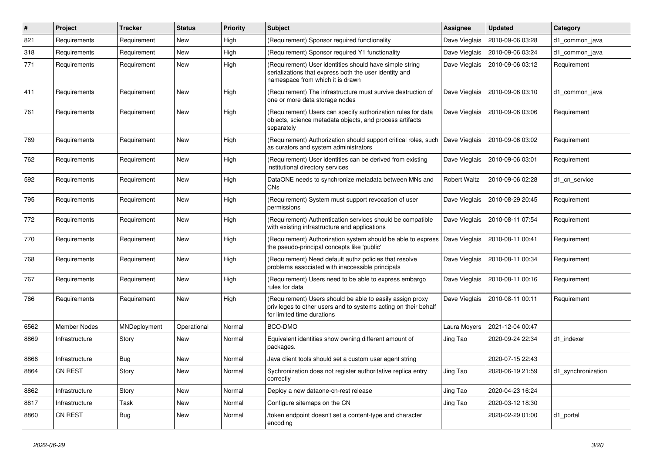| $\pmb{\#}$ | <b>Project</b>      | <b>Tracker</b> | <b>Status</b> | <b>Priority</b> | Subject                                                                                                                                                    | <b>Assignee</b>     | <b>Updated</b>   | Category           |
|------------|---------------------|----------------|---------------|-----------------|------------------------------------------------------------------------------------------------------------------------------------------------------------|---------------------|------------------|--------------------|
| 821        | Requirements        | Requirement    | New           | High            | (Requirement) Sponsor required functionality                                                                                                               | Dave Vieglais       | 2010-09-06 03:28 | d1_common_java     |
| 318        | Requirements        | Requirement    | New           | High            | (Requirement) Sponsor required Y1 functionality                                                                                                            | Dave Vieglais       | 2010-09-06 03:24 | d1_common_java     |
| 771        | Requirements        | Requirement    | New           | High            | (Requirement) User identities should have simple string<br>serializations that express both the user identity and<br>namespace from which it is drawn      | Dave Vieglais       | 2010-09-06 03:12 | Requirement        |
| 411        | Requirements        | Requirement    | New           | High            | (Requirement) The infrastructure must survive destruction of<br>one or more data storage nodes                                                             | Dave Vieglais       | 2010-09-06 03:10 | d1_common_java     |
| 761        | Requirements        | Requirement    | New           | High            | (Requirement) Users can specify authorization rules for data<br>objects, science metadata objects, and process artifacts<br>separately                     | Dave Vieglais       | 2010-09-06 03:06 | Requirement        |
| 769        | Requirements        | Requirement    | New           | High            | (Requirement) Authorization should support critical roles, such<br>as curators and system administrators                                                   | Dave Vieglais       | 2010-09-06 03:02 | Requirement        |
| 762        | Requirements        | Requirement    | New           | High            | (Requirement) User identities can be derived from existing<br>institutional directory services                                                             | Dave Vieglais       | 2010-09-06 03:01 | Requirement        |
| 592        | Requirements        | Requirement    | New           | High            | DataONE needs to synchronize metadata between MNs and<br><b>CNs</b>                                                                                        | <b>Robert Waltz</b> | 2010-09-06 02:28 | d1 cn service      |
| 795        | Requirements        | Requirement    | <b>New</b>    | High            | (Requirement) System must support revocation of user<br>permissions                                                                                        | Dave Vieglais       | 2010-08-29 20:45 | Requirement        |
| 772        | Requirements        | Requirement    | New           | High            | (Requirement) Authentication services should be compatible<br>with existing infrastructure and applications                                                | Dave Vieglais       | 2010-08-11 07:54 | Requirement        |
| 770        | Requirements        | Requirement    | New           | High            | (Requirement) Authorization system should be able to express<br>the pseudo-principal concepts like 'public'                                                | Dave Vieglais       | 2010-08-11 00:41 | Requirement        |
| 768        | Requirements        | Requirement    | New           | High            | (Requirement) Need default authz policies that resolve<br>problems associated with inaccessible principals                                                 | Dave Vieglais       | 2010-08-11 00:34 | Requirement        |
| 767        | Requirements        | Requirement    | New           | High            | (Requirement) Users need to be able to express embargo<br>rules for data                                                                                   | Dave Vieglais       | 2010-08-11 00:16 | Requirement        |
| 766        | Requirements        | Requirement    | New           | High            | (Requirement) Users should be able to easily assign proxy<br>privileges to other users and to systems acting on their behalf<br>for limited time durations | Dave Vieglais       | 2010-08-11 00:11 | Requirement        |
| 6562       | <b>Member Nodes</b> | MNDeployment   | Operational   | Normal          | BCO-DMO                                                                                                                                                    | Laura Moyers        | 2021-12-04 00:47 |                    |
| 8869       | Infrastructure      | Story          | New           | Normal          | Equivalent identities show owning different amount of<br>packages.                                                                                         | Jing Tao            | 2020-09-24 22:34 | d1 indexer         |
| 8866       | Infrastructure      | <b>Bug</b>     | New           | Normal          | Java client tools should set a custom user agent string                                                                                                    |                     | 2020-07-15 22:43 |                    |
| 8864       | <b>CN REST</b>      | Story          | New           | Normal          | Sychronization does not register authoritative replica entry<br>correctly                                                                                  | Jing Tao            | 2020-06-19 21:59 | d1_synchronization |
| 8862       | Infrastructure      | Story          | New           | Normal          | Deploy a new dataone-cn-rest release                                                                                                                       | Jing Tao            | 2020-04-23 16:24 |                    |
| 8817       | Infrastructure      | Task           | New           | Normal          | Configure sitemaps on the CN                                                                                                                               | Jing Tao            | 2020-03-12 18:30 |                    |
| 8860       | CN REST             | <b>Bug</b>     | New           | Normal          | /token endpoint doesn't set a content-type and character<br>encoding                                                                                       |                     | 2020-02-29 01:00 | d1_portal          |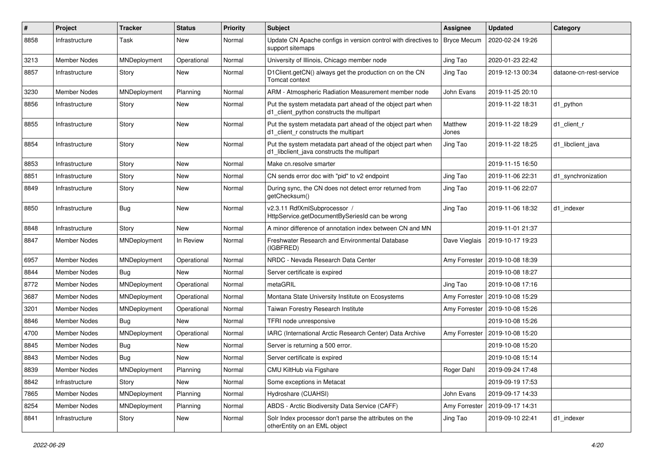| $\#$ | Project             | <b>Tracker</b> | <b>Status</b> | <b>Priority</b> | Subject                                                                                                  | <b>Assignee</b>  | <b>Updated</b>                   | Category                |
|------|---------------------|----------------|---------------|-----------------|----------------------------------------------------------------------------------------------------------|------------------|----------------------------------|-------------------------|
| 8858 | Infrastructure      | Task           | New           | Normal          | Update CN Apache configs in version control with directives to   Bryce Mecum<br>support sitemaps         |                  | 2020-02-24 19:26                 |                         |
| 3213 | Member Nodes        | MNDeployment   | Operational   | Normal          | University of Illinois, Chicago member node                                                              | Jing Tao         | 2020-01-23 22:42                 |                         |
| 8857 | Infrastructure      | Story          | New           | Normal          | D1Client.getCN() always get the production cn on the CN<br>Tomcat context                                | Jing Tao         | 2019-12-13 00:34                 | dataone-cn-rest-service |
| 3230 | Member Nodes        | MNDeployment   | Planning      | Normal          | ARM - Atmospheric Radiation Measurement member node                                                      | John Evans       | 2019-11-25 20:10                 |                         |
| 8856 | Infrastructure      | Story          | New           | Normal          | Put the system metadata part ahead of the object part when<br>d1_client_python constructs the multipart  |                  | 2019-11-22 18:31                 | d1_python               |
| 8855 | Infrastructure      | Story          | New           | Normal          | Put the system metadata part ahead of the object part when<br>d1 client r constructs the multipart       | Matthew<br>Jones | 2019-11-22 18:29                 | d1 client r             |
| 8854 | Infrastructure      | Story          | New           | Normal          | Put the system metadata part ahead of the object part when<br>d1_libclient_java constructs the multipart | Jing Tao         | 2019-11-22 18:25                 | d1_libclient_java       |
| 8853 | Infrastructure      | Story          | <b>New</b>    | Normal          | Make cn.resolve smarter                                                                                  |                  | 2019-11-15 16:50                 |                         |
| 8851 | Infrastructure      | Story          | New           | Normal          | CN sends error doc with "pid" to v2 endpoint                                                             | Jing Tao         | 2019-11-06 22:31                 | d1_synchronization      |
| 8849 | Infrastructure      | Story          | New           | Normal          | During sync, the CN does not detect error returned from<br>getChecksum()                                 | Jing Tao         | 2019-11-06 22:07                 |                         |
| 8850 | Infrastructure      | <b>Bug</b>     | New           | Normal          | v2.3.11 RdfXmlSubprocessor /<br>HttpService.getDocumentBySeriesId can be wrong                           | Jing Tao         | 2019-11-06 18:32                 | d1 indexer              |
| 8848 | Infrastructure      | Story          | New           | Normal          | A minor difference of annotation index between CN and MN                                                 |                  | 2019-11-01 21:37                 |                         |
| 8847 | Member Nodes        | MNDeployment   | In Review     | Normal          | Freshwater Research and Environmental Database<br>(IGBFRED)                                              | Dave Vieglais    | 2019-10-17 19:23                 |                         |
| 6957 | Member Nodes        | MNDeployment   | Operational   | Normal          | NRDC - Nevada Research Data Center                                                                       | Amy Forrester    | 2019-10-08 18:39                 |                         |
| 8844 | Member Nodes        | Bug            | New           | Normal          | Server certificate is expired                                                                            |                  | 2019-10-08 18:27                 |                         |
| 8772 | Member Nodes        | MNDeployment   | Operational   | Normal          | metaGRIL                                                                                                 | Jing Tao         | 2019-10-08 17:16                 |                         |
| 3687 | Member Nodes        | MNDeployment   | Operational   | Normal          | Montana State University Institute on Ecosystems                                                         |                  | Amy Forrester   2019-10-08 15:29 |                         |
| 3201 | Member Nodes        | MNDeployment   | Operational   | Normal          | Taiwan Forestry Research Institute                                                                       | Amy Forrester    | 2019-10-08 15:26                 |                         |
| 8846 | Member Nodes        | <b>Bug</b>     | New           | Normal          | TFRI node unresponsive                                                                                   |                  | 2019-10-08 15:26                 |                         |
| 4700 | Member Nodes        | MNDeployment   | Operational   | Normal          | IARC (International Arctic Research Center) Data Archive                                                 | Amy Forrester    | 2019-10-08 15:20                 |                         |
| 8845 | <b>Member Nodes</b> | Bug            | New           | Normal          | Server is returning a 500 error.                                                                         |                  | 2019-10-08 15:20                 |                         |
| 8843 | Member Nodes        | <b>Bug</b>     | New           | Normal          | Server certificate is expired                                                                            |                  | 2019-10-08 15:14                 |                         |
| 8839 | Member Nodes        | MNDeployment   | Planning      | Normal          | CMU KiltHub via Figshare                                                                                 | Roger Dahl       | 2019-09-24 17:48                 |                         |
| 8842 | Infrastructure      | Story          | New           | Normal          | Some exceptions in Metacat                                                                               |                  | 2019-09-19 17:53                 |                         |
| 7865 | Member Nodes        | MNDeployment   | Planning      | Normal          | Hydroshare (CUAHSI)                                                                                      | John Evans       | 2019-09-17 14:33                 |                         |
| 8254 | Member Nodes        | MNDeployment   | Planning      | Normal          | ABDS - Arctic Biodiversity Data Service (CAFF)                                                           | Amy Forrester    | 2019-09-17 14:31                 |                         |
| 8841 | Infrastructure      | Story          | New           | Normal          | Solr Index processor don't parse the attributes on the<br>otherEntity on an EML object                   | Jing Tao         | 2019-09-10 22:41                 | d1_indexer              |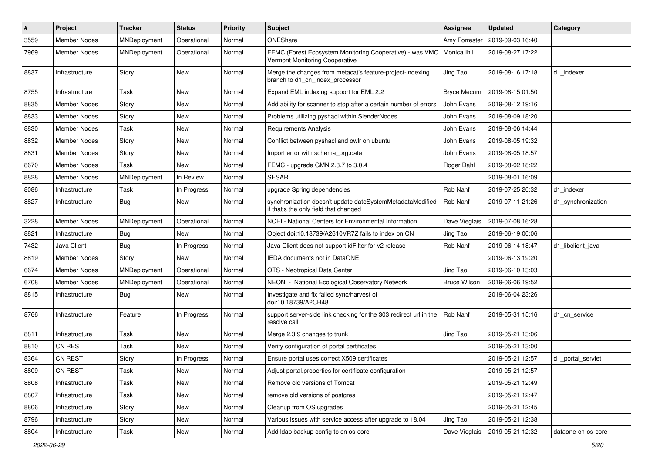| $\sharp$ | Project             | <b>Tracker</b> | <b>Status</b> | <b>Priority</b> | <b>Subject</b>                                                                                           | <b>Assignee</b>     | <b>Updated</b>   | Category           |
|----------|---------------------|----------------|---------------|-----------------|----------------------------------------------------------------------------------------------------------|---------------------|------------------|--------------------|
| 3559     | <b>Member Nodes</b> | MNDeployment   | Operational   | Normal          | ONEShare                                                                                                 | Amy Forrester       | 2019-09-03 16:40 |                    |
| 7969     | Member Nodes        | MNDeployment   | Operational   | Normal          | FEMC (Forest Ecosystem Monitoring Cooperative) - was VMC   Monica Ihli<br>Vermont Monitoring Cooperative |                     | 2019-08-27 17:22 |                    |
| 8837     | Infrastructure      | Story          | New           | Normal          | Merge the changes from metacat's feature-project-indexing<br>branch to d1_cn_index_processor             | Jing Tao            | 2019-08-16 17:18 | d1 indexer         |
| 8755     | Infrastructure      | Task           | New           | Normal          | Expand EML indexing support for EML 2.2                                                                  | <b>Bryce Mecum</b>  | 2019-08-15 01:50 |                    |
| 8835     | Member Nodes        | Story          | New           | Normal          | Add ability for scanner to stop after a certain number of errors                                         | John Evans          | 2019-08-12 19:16 |                    |
| 8833     | Member Nodes        | Story          | New           | Normal          | Problems utilizing pyshacl within SlenderNodes                                                           | John Evans          | 2019-08-09 18:20 |                    |
| 8830     | Member Nodes        | Task           | New           | Normal          | <b>Requirements Analysis</b>                                                                             | John Evans          | 2019-08-06 14:44 |                    |
| 8832     | <b>Member Nodes</b> | Story          | New           | Normal          | Conflict between pyshacl and owlr on ubuntu                                                              | John Evans          | 2019-08-05 19:32 |                    |
| 8831     | Member Nodes        | Story          | New           | Normal          | Import error with schema_org.data                                                                        | John Evans          | 2019-08-05 18:57 |                    |
| 8670     | Member Nodes        | Task           | New           | Normal          | FEMC - upgrade GMN 2.3.7 to 3.0.4                                                                        | Roger Dahl          | 2019-08-02 18:22 |                    |
| 8828     | <b>Member Nodes</b> | MNDeployment   | In Review     | Normal          | <b>SESAR</b>                                                                                             |                     | 2019-08-01 16:09 |                    |
| 8086     | Infrastructure      | Task           | In Progress   | Normal          | upgrade Spring dependencies                                                                              | Rob Nahf            | 2019-07-25 20:32 | d1 indexer         |
| 8827     | Infrastructure      | Bug            | New           | Normal          | synchronization doesn't update dateSystemMetadataModified<br>if that's the only field that changed       | Rob Nahf            | 2019-07-11 21:26 | d1 synchronization |
| 3228     | Member Nodes        | MNDeployment   | Operational   | Normal          | NCEI - National Centers for Environmental Information                                                    | Dave Vieglais       | 2019-07-08 16:28 |                    |
| 8821     | Infrastructure      | Bug            | New           | Normal          | Object doi:10.18739/A2610VR7Z fails to index on CN                                                       | Jing Tao            | 2019-06-19 00:06 |                    |
| 7432     | Java Client         | Bug            | In Progress   | Normal          | Java Client does not support id Filter for v2 release                                                    | Rob Nahf            | 2019-06-14 18:47 | d1 libclient java  |
| 8819     | Member Nodes        | Story          | New           | Normal          | <b>IEDA</b> documents not in DataONE                                                                     |                     | 2019-06-13 19:20 |                    |
| 6674     | <b>Member Nodes</b> | MNDeployment   | Operational   | Normal          | OTS - Neotropical Data Center                                                                            | Jing Tao            | 2019-06-10 13:03 |                    |
| 6708     | Member Nodes        | MNDeployment   | Operational   | Normal          | NEON - National Ecological Observatory Network                                                           | <b>Bruce Wilson</b> | 2019-06-06 19:52 |                    |
| 8815     | Infrastructure      | Bug            | New           | Normal          | Investigate and fix failed sync/harvest of<br>doi:10.18739/A2CH48                                        |                     | 2019-06-04 23:26 |                    |
| 8766     | Infrastructure      | Feature        | In Progress   | Normal          | support server-side link checking for the 303 redirect url in the<br>resolve call                        | Rob Nahf            | 2019-05-31 15:16 | d1_cn_service      |
| 8811     | Infrastructure      | Task           | New           | Normal          | Merge 2.3.9 changes to trunk                                                                             | Jing Tao            | 2019-05-21 13:06 |                    |
| 8810     | CN REST             | Task           | New           | Normal          | Verify configuration of portal certificates                                                              |                     | 2019-05-21 13:00 |                    |
| 8364     | CN REST             | Story          | In Progress   | Normal          | Ensure portal uses correct X509 certificates                                                             |                     | 2019-05-21 12:57 | d1 portal servlet  |
| 8809     | CN REST             | Task           | New           | Normal          | Adjust portal properties for certificate configuration                                                   |                     | 2019-05-21 12:57 |                    |
| 8808     | Infrastructure      | Task           | New           | Normal          | Remove old versions of Tomcat                                                                            |                     | 2019-05-21 12:49 |                    |
| 8807     | Infrastructure      | Task           | New           | Normal          | remove old versions of postgres                                                                          |                     | 2019-05-21 12:47 |                    |
| 8806     | Infrastructure      | Story          | New           | Normal          | Cleanup from OS upgrades                                                                                 |                     | 2019-05-21 12:45 |                    |
| 8796     | Infrastructure      | Story          | New           | Normal          | Various issues with service access after upgrade to 18.04                                                | Jing Tao            | 2019-05-21 12:38 |                    |
| 8804     | Infrastructure      | Task           | New           | Normal          | Add Idap backup config to cn os-core                                                                     | Dave Vieglais       | 2019-05-21 12:32 | dataone-cn-os-core |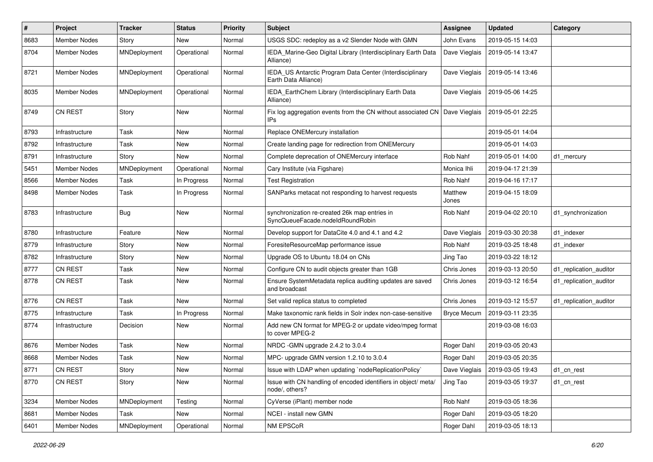| $\pmb{\#}$ | Project             | <b>Tracker</b> | <b>Status</b> | Priority | <b>Subject</b>                                                                       | <b>Assignee</b>    | <b>Updated</b>                   | Category               |
|------------|---------------------|----------------|---------------|----------|--------------------------------------------------------------------------------------|--------------------|----------------------------------|------------------------|
| 8683       | <b>Member Nodes</b> | Story          | New           | Normal   | USGS SDC: redeploy as a v2 Slender Node with GMN                                     | John Evans         | 2019-05-15 14:03                 |                        |
| 8704       | Member Nodes        | MNDeployment   | Operational   | Normal   | IEDA_Marine-Geo Digital Library (Interdisciplinary Earth Data<br>Alliance)           | Dave Vieglais      | 2019-05-14 13:47                 |                        |
| 8721       | Member Nodes        | MNDeployment   | Operational   | Normal   | IEDA_US Antarctic Program Data Center (Interdisciplinary<br>Earth Data Alliance)     | Dave Vieglais      | 2019-05-14 13:46                 |                        |
| 8035       | Member Nodes        | MNDeployment   | Operational   | Normal   | IEDA_EarthChem Library (Interdisciplinary Earth Data<br>Alliance)                    | Dave Vieglais      | 2019-05-06 14:25                 |                        |
| 8749       | <b>CN REST</b>      | Story          | New           | Normal   | Fix log aggregation events from the CN without associated CN   Dave Vieglais<br>IPs. |                    | 2019-05-01 22:25                 |                        |
| 8793       | Infrastructure      | Task           | New           | Normal   | Replace ONEMercury installation                                                      |                    | 2019-05-01 14:04                 |                        |
| 8792       | Infrastructure      | Task           | New           | Normal   | Create landing page for redirection from ONEMercury                                  |                    | 2019-05-01 14:03                 |                        |
| 8791       | Infrastructure      | Story          | New           | Normal   | Complete deprecation of ONEMercury interface                                         | Rob Nahf           | 2019-05-01 14:00                 | d1 mercury             |
| 5451       | Member Nodes        | MNDeployment   | Operational   | Normal   | Cary Institute (via Figshare)                                                        | Monica Ihli        | 2019-04-17 21:39                 |                        |
| 8566       | Member Nodes        | Task           | In Progress   | Normal   | <b>Test Registration</b>                                                             | Rob Nahf           | 2019-04-16 17:17                 |                        |
| 8498       | Member Nodes        | Task           | In Progress   | Normal   | SANParks metacat not responding to harvest requests                                  | Matthew<br>Jones   | 2019-04-15 18:09                 |                        |
| 8783       | Infrastructure      | <b>Bug</b>     | New           | Normal   | synchronization re-created 26k map entries in<br>SyncQueueFacade.nodeIdRoundRobin    | Rob Nahf           | 2019-04-02 20:10                 | d1 synchronization     |
| 8780       | Infrastructure      | Feature        | New           | Normal   | Develop support for DataCite 4.0 and 4.1 and 4.2                                     | Dave Vieglais      | 2019-03-30 20:38                 | d1 indexer             |
| 8779       | Infrastructure      | Story          | New           | Normal   | ForesiteResourceMap performance issue                                                | Rob Nahf           | 2019-03-25 18:48                 | d1 indexer             |
| 8782       | Infrastructure      | Story          | New           | Normal   | Upgrade OS to Ubuntu 18.04 on CNs                                                    | Jing Tao           | 2019-03-22 18:12                 |                        |
| 8777       | <b>CN REST</b>      | Task           | New           | Normal   | Configure CN to audit objects greater than 1GB                                       | Chris Jones        | 2019-03-13 20:50                 | d1 replication auditor |
| 8778       | CN REST             | Task           | New           | Normal   | Ensure SystemMetadata replica auditing updates are saved<br>and broadcast            | Chris Jones        | 2019-03-12 16:54                 | d1 replication auditor |
| 8776       | CN REST             | Task           | New           | Normal   | Set valid replica status to completed                                                | Chris Jones        | 2019-03-12 15:57                 | d1 replication auditor |
| 8775       | Infrastructure      | Task           | In Progress   | Normal   | Make taxonomic rank fields in Solr index non-case-sensitive                          | <b>Bryce Mecum</b> | 2019-03-11 23:35                 |                        |
| 8774       | Infrastructure      | Decision       | New           | Normal   | Add new CN format for MPEG-2 or update video/mpeg format<br>to cover MPEG-2          |                    | 2019-03-08 16:03                 |                        |
| 8676       | <b>Member Nodes</b> | Task           | <b>New</b>    | Normal   | NRDC - GMN upgrade 2.4.2 to 3.0.4                                                    | Roger Dahl         | 2019-03-05 20:43                 |                        |
| 8668       | Member Nodes        | Task           | New           | Normal   | MPC- upgrade GMN version 1.2.10 to 3.0.4                                             | Roger Dahl         | 2019-03-05 20:35                 |                        |
| 8771       | CN REST             | Story          | New           | Normal   | Issue with LDAP when updating `nodeReplicationPolicy`                                |                    | Dave Vieglais   2019-03-05 19:43 | d1_cn_rest             |
| 8770       | CN REST             | Story          | New           | Normal   | Issue with CN handling of encoded identifiers in object/ meta/<br>node/, others?     | Jing Tao           | 2019-03-05 19:37                 | d1_cn_rest             |
| 3234       | Member Nodes        | MNDeployment   | Testing       | Normal   | CyVerse (iPlant) member node                                                         | Rob Nahf           | 2019-03-05 18:36                 |                        |
| 8681       | Member Nodes        | Task           | New           | Normal   | NCEI - install new GMN                                                               | Roger Dahl         | 2019-03-05 18:20                 |                        |
| 6401       | Member Nodes        | MNDeployment   | Operational   | Normal   | NM EPSCoR                                                                            | Roger Dahl         | 2019-03-05 18:13                 |                        |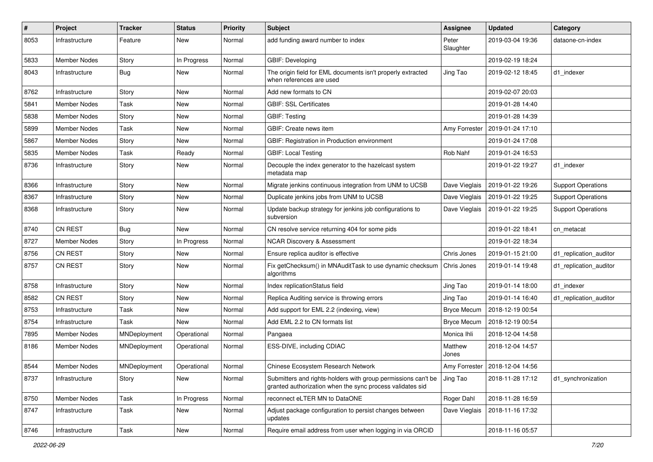| $\pmb{\#}$ | Project             | <b>Tracker</b> | <b>Status</b> | <b>Priority</b> | Subject                                                                                                                    | <b>Assignee</b>    | <b>Updated</b>                   | Category                  |
|------------|---------------------|----------------|---------------|-----------------|----------------------------------------------------------------------------------------------------------------------------|--------------------|----------------------------------|---------------------------|
| 8053       | Infrastructure      | Feature        | New           | Normal          | add funding award number to index                                                                                          | Peter<br>Slaughter | 2019-03-04 19:36                 | dataone-cn-index          |
| 5833       | Member Nodes        | Story          | In Progress   | Normal          | <b>GBIF: Developing</b>                                                                                                    |                    | 2019-02-19 18:24                 |                           |
| 8043       | Infrastructure      | Bug            | New           | Normal          | The origin field for EML documents isn't properly extracted<br>when references are used                                    | Jing Tao           | 2019-02-12 18:45                 | d1 indexer                |
| 8762       | Infrastructure      | Story          | New           | Normal          | Add new formats to CN                                                                                                      |                    | 2019-02-07 20:03                 |                           |
| 5841       | Member Nodes        | Task           | New           | Normal          | <b>GBIF: SSL Certificates</b>                                                                                              |                    | 2019-01-28 14:40                 |                           |
| 5838       | Member Nodes        | Story          | New           | Normal          | <b>GBIF: Testing</b>                                                                                                       |                    | 2019-01-28 14:39                 |                           |
| 5899       | Member Nodes        | Task           | New           | Normal          | GBIF: Create news item                                                                                                     | Amy Forrester      | 2019-01-24 17:10                 |                           |
| 5867       | <b>Member Nodes</b> | Story          | <b>New</b>    | Normal          | GBIF: Registration in Production environment                                                                               |                    | 2019-01-24 17:08                 |                           |
| 5835       | Member Nodes        | Task           | Ready         | Normal          | <b>GBIF: Local Testing</b>                                                                                                 | Rob Nahf           | 2019-01-24 16:53                 |                           |
| 8736       | Infrastructure      | Story          | New           | Normal          | Decouple the index generator to the hazelcast system<br>metadata map                                                       |                    | 2019-01-22 19:27                 | d1 indexer                |
| 8366       | Infrastructure      | Story          | New           | Normal          | Migrate jenkins continuous integration from UNM to UCSB                                                                    | Dave Vieglais      | 2019-01-22 19:26                 | <b>Support Operations</b> |
| 8367       | Infrastructure      | Story          | New           | Normal          | Duplicate jenkins jobs from UNM to UCSB                                                                                    | Dave Vieglais      | 2019-01-22 19:25                 | <b>Support Operations</b> |
| 8368       | Infrastructure      | Story          | New           | Normal          | Update backup strategy for jenkins job configurations to<br>subversion                                                     | Dave Vieglais      | 2019-01-22 19:25                 | <b>Support Operations</b> |
| 8740       | CN REST             | Bug            | <b>New</b>    | Normal          | CN resolve service returning 404 for some pids                                                                             |                    | 2019-01-22 18:41                 | cn metacat                |
| 8727       | <b>Member Nodes</b> | Story          | In Progress   | Normal          | <b>NCAR Discovery &amp; Assessment</b>                                                                                     |                    | 2019-01-22 18:34                 |                           |
| 8756       | <b>CN REST</b>      | Story          | New           | Normal          | Ensure replica auditor is effective                                                                                        | Chris Jones        | 2019-01-15 21:00                 | d1_replication_auditor    |
| 8757       | <b>CN REST</b>      | Story          | New           | Normal          | Fix getChecksum() in MNAuditTask to use dynamic checksum<br>algorithms                                                     | Chris Jones        | 2019-01-14 19:48                 | d1 replication auditor    |
| 8758       | Infrastructure      | Story          | <b>New</b>    | Normal          | Index replicationStatus field                                                                                              | Jing Tao           | 2019-01-14 18:00                 | d1 indexer                |
| 8582       | <b>CN REST</b>      | Story          | New           | Normal          | Replica Auditing service is throwing errors                                                                                | Jing Tao           | 2019-01-14 16:40                 | d1 replication auditor    |
| 8753       | Infrastructure      | Task           | New           | Normal          | Add support for EML 2.2 (indexing, view)                                                                                   | <b>Bryce Mecum</b> | 2018-12-19 00:54                 |                           |
| 8754       | Infrastructure      | Task           | <b>New</b>    | Normal          | Add EML 2.2 to CN formats list                                                                                             | <b>Bryce Mecum</b> | 2018-12-19 00:54                 |                           |
| 7895       | Member Nodes        | MNDeployment   | Operational   | Normal          | Pangaea                                                                                                                    | Monica Ihli        | 2018-12-04 14:58                 |                           |
| 8186       | <b>Member Nodes</b> | MNDeployment   | Operational   | Normal          | ESS-DIVE, including CDIAC                                                                                                  | Matthew<br>Jones   | 2018-12-04 14:57                 |                           |
| 8544       | Member Nodes        | MNDeployment   | Operational   | Normal          | Chinese Ecosystem Research Network                                                                                         |                    | Amy Forrester   2018-12-04 14:56 |                           |
| 8737       | Infrastructure      | Story          | New           | Normal          | Submitters and rights-holders with group permissions can't be<br>granted authorization when the sync process validates sid | Jing Tao           | 2018-11-28 17:12                 | d1_synchronization        |
| 8750       | Member Nodes        | Task           | In Progress   | Normal          | reconnect eLTER MN to DataONE                                                                                              | Roger Dahl         | 2018-11-28 16:59                 |                           |
| 8747       | Infrastructure      | Task           | New           | Normal          | Adjust package configuration to persist changes between<br>updates                                                         | Dave Vieglais      | 2018-11-16 17:32                 |                           |
| 8746       | Infrastructure      | Task           | New           | Normal          | Require email address from user when logging in via ORCID                                                                  |                    | 2018-11-16 05:57                 |                           |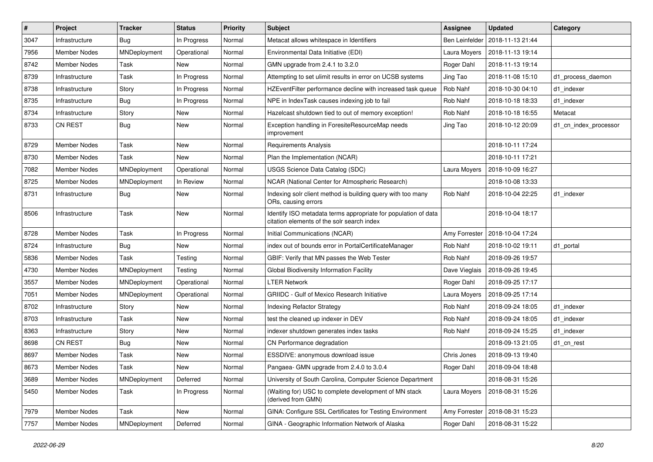| $\#$ | Project             | <b>Tracker</b> | <b>Status</b> | Priority | <b>Subject</b>                                                                                               | <b>Assignee</b>       | <b>Updated</b>   | Category              |
|------|---------------------|----------------|---------------|----------|--------------------------------------------------------------------------------------------------------------|-----------------------|------------------|-----------------------|
| 3047 | Infrastructure      | <b>Bug</b>     | In Progress   | Normal   | Metacat allows whitespace in Identifiers                                                                     | <b>Ben Leinfelder</b> | 2018-11-13 21:44 |                       |
| 7956 | <b>Member Nodes</b> | MNDeployment   | Operational   | Normal   | Environmental Data Initiative (EDI)                                                                          | Laura Moyers          | 2018-11-13 19:14 |                       |
| 8742 | <b>Member Nodes</b> | Task           | <b>New</b>    | Normal   | GMN upgrade from 2.4.1 to 3.2.0                                                                              | Roger Dahl            | 2018-11-13 19:14 |                       |
| 8739 | Infrastructure      | Task           | In Progress   | Normal   | Attempting to set ulimit results in error on UCSB systems                                                    | Jing Tao              | 2018-11-08 15:10 | d1 process daemon     |
| 8738 | Infrastructure      | Story          | In Progress   | Normal   | HZEventFilter performance decline with increased task queue                                                  | Rob Nahf              | 2018-10-30 04:10 | d1 indexer            |
| 8735 | Infrastructure      | Bug            | In Progress   | Normal   | NPE in IndexTask causes indexing job to fail                                                                 | Rob Nahf              | 2018-10-18 18:33 | d1 indexer            |
| 8734 | Infrastructure      | Story          | New           | Normal   | Hazelcast shutdown tied to out of memory exception!                                                          | Rob Nahf              | 2018-10-18 16:55 | Metacat               |
| 8733 | <b>CN REST</b>      | Bug            | New           | Normal   | Exception handling in ForesiteResourceMap needs<br>improvement                                               | Jing Tao              | 2018-10-12 20:09 | d1_cn_index_processor |
| 8729 | <b>Member Nodes</b> | Task           | <b>New</b>    | Normal   | <b>Requirements Analysis</b>                                                                                 |                       | 2018-10-11 17:24 |                       |
| 8730 | Member Nodes        | Task           | <b>New</b>    | Normal   | Plan the Implementation (NCAR)                                                                               |                       | 2018-10-11 17:21 |                       |
| 7082 | Member Nodes        | MNDeployment   | Operational   | Normal   | USGS Science Data Catalog (SDC)                                                                              | Laura Moyers          | 2018-10-09 16:27 |                       |
| 8725 | Member Nodes        | MNDeployment   | In Review     | Normal   | NCAR (National Center for Atmospheric Research)                                                              |                       | 2018-10-08 13:33 |                       |
| 8731 | Infrastructure      | <b>Bug</b>     | New           | Normal   | Indexing solr client method is building query with too many<br>ORs, causing errors                           | <b>Rob Nahf</b>       | 2018-10-04 22:25 | d1 indexer            |
| 8506 | Infrastructure      | Task           | <b>New</b>    | Normal   | Identify ISO metadata terms appropriate for population of data<br>citation elements of the solr search index |                       | 2018-10-04 18:17 |                       |
| 8728 | <b>Member Nodes</b> | Task           | In Progress   | Normal   | Initial Communications (NCAR)                                                                                | Amy Forrester         | 2018-10-04 17:24 |                       |
| 8724 | Infrastructure      | Bug            | <b>New</b>    | Normal   | index out of bounds error in PortalCertificateManager                                                        | Rob Nahf              | 2018-10-02 19:11 | d1_portal             |
| 5836 | Member Nodes        | Task           | Testing       | Normal   | GBIF: Verify that MN passes the Web Tester                                                                   | Rob Nahf              | 2018-09-26 19:57 |                       |
| 4730 | Member Nodes        | MNDeployment   | Testing       | Normal   | Global Biodiversity Information Facility                                                                     | Dave Vieglais         | 2018-09-26 19:45 |                       |
| 3557 | Member Nodes        | MNDeployment   | Operational   | Normal   | <b>LTER Network</b>                                                                                          | Roger Dahl            | 2018-09-25 17:17 |                       |
| 7051 | <b>Member Nodes</b> | MNDeployment   | Operational   | Normal   | <b>GRIIDC</b> - Gulf of Mexico Research Initiative                                                           | Laura Moyers          | 2018-09-25 17:14 |                       |
| 8702 | Infrastructure      | Story          | New           | Normal   | <b>Indexing Refactor Strategy</b>                                                                            | Rob Nahf              | 2018-09-24 18:05 | d1 indexer            |
| 8703 | Infrastructure      | Task           | New           | Normal   | test the cleaned up indexer in DEV                                                                           | Rob Nahf              | 2018-09-24 18:05 | d1 indexer            |
| 8363 | Infrastructure      | Story          | <b>New</b>    | Normal   | indexer shutdown generates index tasks                                                                       | Rob Nahf              | 2018-09-24 15:25 | d1 indexer            |
| 8698 | <b>CN REST</b>      | Bug            | New           | Normal   | CN Performance degradation                                                                                   |                       | 2018-09-13 21:05 | d1_cn_rest            |
| 8697 | <b>Member Nodes</b> | Task           | <b>New</b>    | Normal   | ESSDIVE: anonymous download issue                                                                            | Chris Jones           | 2018-09-13 19:40 |                       |
| 8673 | Member Nodes        | Task           | New           | Normal   | Pangaea- GMN upgrade from 2.4.0 to 3.0.4                                                                     | Roger Dahl            | 2018-09-04 18:48 |                       |
| 3689 | Member Nodes        | MNDeployment   | Deferred      | Normal   | University of South Carolina, Computer Science Department                                                    |                       | 2018-08-31 15:26 |                       |
| 5450 | Member Nodes        | Task           | In Progress   | Normal   | (Waiting for) USC to complete development of MN stack<br>(derived from GMN)                                  | Laura Moyers          | 2018-08-31 15:26 |                       |
| 7979 | Member Nodes        | Task           | New           | Normal   | GINA: Configure SSL Certificates for Testing Environment                                                     | Amy Forrester         | 2018-08-31 15:23 |                       |
| 7757 | Member Nodes        | MNDeployment   | Deferred      | Normal   | GINA - Geographic Information Network of Alaska                                                              | Roger Dahl            | 2018-08-31 15:22 |                       |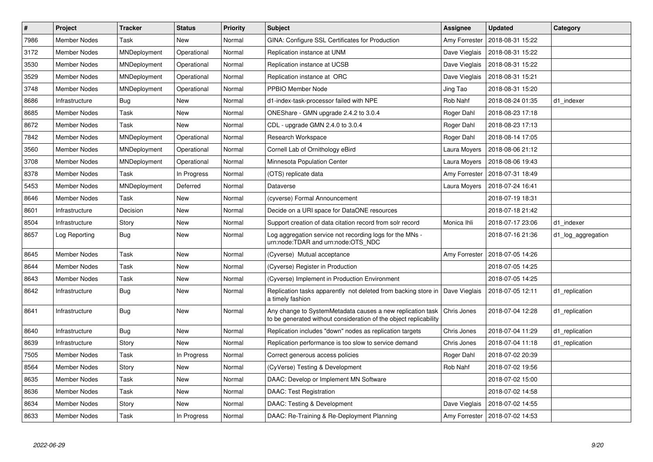| $\vert$ # | Project             | <b>Tracker</b> | <b>Status</b> | Priority | <b>Subject</b>                                                                                                                  | Assignee      | <b>Updated</b>                   | Category           |
|-----------|---------------------|----------------|---------------|----------|---------------------------------------------------------------------------------------------------------------------------------|---------------|----------------------------------|--------------------|
| 7986      | <b>Member Nodes</b> | Task           | <b>New</b>    | Normal   | GINA: Configure SSL Certificates for Production                                                                                 | Amy Forrester | 2018-08-31 15:22                 |                    |
| 3172      | <b>Member Nodes</b> | MNDeployment   | Operational   | Normal   | Replication instance at UNM                                                                                                     | Dave Vieglais | 2018-08-31 15:22                 |                    |
| 3530      | Member Nodes        | MNDeployment   | Operational   | Normal   | Replication instance at UCSB                                                                                                    | Dave Vieglais | 2018-08-31 15:22                 |                    |
| 3529      | <b>Member Nodes</b> | MNDeployment   | Operational   | Normal   | Replication instance at ORC                                                                                                     | Dave Vieglais | 2018-08-31 15:21                 |                    |
| 3748      | Member Nodes        | MNDeployment   | Operational   | Normal   | PPBIO Member Node                                                                                                               | Jing Tao      | 2018-08-31 15:20                 |                    |
| 8686      | Infrastructure      | <b>Bug</b>     | <b>New</b>    | Normal   | d1-index-task-processor failed with NPE                                                                                         | Rob Nahf      | 2018-08-24 01:35                 | d1 indexer         |
| 8685      | Member Nodes        | Task           | New           | Normal   | ONEShare - GMN upgrade 2.4.2 to 3.0.4                                                                                           | Roger Dahl    | 2018-08-23 17:18                 |                    |
| 8672      | <b>Member Nodes</b> | Task           | <b>New</b>    | Normal   | CDL - upgrade GMN 2.4.0 to 3.0.4                                                                                                | Roger Dahl    | 2018-08-23 17:13                 |                    |
| 7842      | <b>Member Nodes</b> | MNDeployment   | Operational   | Normal   | Research Workspace                                                                                                              | Roger Dahl    | 2018-08-14 17:05                 |                    |
| 3560      | Member Nodes        | MNDeployment   | Operational   | Normal   | Cornell Lab of Ornithology eBird                                                                                                | Laura Moyers  | 2018-08-06 21:12                 |                    |
| 3708      | Member Nodes        | MNDeployment   | Operational   | Normal   | Minnesota Population Center                                                                                                     | Laura Moyers  | 2018-08-06 19:43                 |                    |
| 8378      | <b>Member Nodes</b> | Task           | In Progress   | Normal   | (OTS) replicate data                                                                                                            | Amy Forrester | 2018-07-31 18:49                 |                    |
| 5453      | <b>Member Nodes</b> | MNDeployment   | Deferred      | Normal   | Dataverse                                                                                                                       | Laura Moyers  | 2018-07-24 16:41                 |                    |
| 8646      | Member Nodes        | Task           | New           | Normal   | (cyverse) Formal Announcement                                                                                                   |               | 2018-07-19 18:31                 |                    |
| 8601      | Infrastructure      | Decision       | <b>New</b>    | Normal   | Decide on a URI space for DataONE resources                                                                                     |               | 2018-07-18 21:42                 |                    |
| 8504      | Infrastructure      | Story          | <b>New</b>    | Normal   | Support creation of data citation record from solr record                                                                       | Monica Ihli   | 2018-07-17 23:06                 | d1 indexer         |
| 8657      | Log Reporting       | Bug            | New           | Normal   | Log aggregation service not recording logs for the MNs -<br>urn:node:TDAR and urn:node:OTS_NDC                                  |               | 2018-07-16 21:36                 | d1 log aggregation |
| 8645      | <b>Member Nodes</b> | Task           | <b>New</b>    | Normal   | (Cyverse) Mutual acceptance                                                                                                     | Amy Forrester | 2018-07-05 14:26                 |                    |
| 8644      | <b>Member Nodes</b> | Task           | New           | Normal   | (Cyverse) Register in Production                                                                                                |               | 2018-07-05 14:25                 |                    |
| 8643      | <b>Member Nodes</b> | Task           | <b>New</b>    | Normal   | (Cyverse) Implement in Production Environment                                                                                   |               | 2018-07-05 14:25                 |                    |
| 8642      | Infrastructure      | Bug            | New           | Normal   | Replication tasks apparently not deleted from backing store in<br>a timely fashion                                              | Dave Vieglais | 2018-07-05 12:11                 | d1 replication     |
| 8641      | Infrastructure      | Bug            | <b>New</b>    | Normal   | Any change to SystemMetadata causes a new replication task<br>to be generated without consideration of the object replicability | Chris Jones   | 2018-07-04 12:28                 | d1 replication     |
| 8640      | Infrastructure      | <b>Bug</b>     | New           | Normal   | Replication includes "down" nodes as replication targets                                                                        | Chris Jones   | 2018-07-04 11:29                 | d1 replication     |
| 8639      | Infrastructure      | Story          | <b>New</b>    | Normal   | Replication performance is too slow to service demand                                                                           | Chris Jones   | 2018-07-04 11:18                 | d1 replication     |
| 7505      | <b>Member Nodes</b> | Task           | In Progress   | Normal   | Correct generous access policies                                                                                                | Roger Dahl    | 2018-07-02 20:39                 |                    |
| 8564      | Member Nodes        | Story          | New           | Normal   | (CyVerse) Testing & Development                                                                                                 | Rob Nahf      | 2018-07-02 19:56                 |                    |
| 8635      | <b>Member Nodes</b> | Task           | New           | Normal   | DAAC: Develop or Implement MN Software                                                                                          |               | 2018-07-02 15:00                 |                    |
| 8636      | Member Nodes        | Task           | New           | Normal   | <b>DAAC: Test Registration</b>                                                                                                  |               | 2018-07-02 14:58                 |                    |
| 8634      | Member Nodes        | Story          | <b>New</b>    | Normal   | DAAC: Testing & Development                                                                                                     | Dave Vieglais | 2018-07-02 14:55                 |                    |
| 8633      | <b>Member Nodes</b> | Task           | In Progress   | Normal   | DAAC: Re-Training & Re-Deployment Planning                                                                                      |               | Amy Forrester   2018-07-02 14:53 |                    |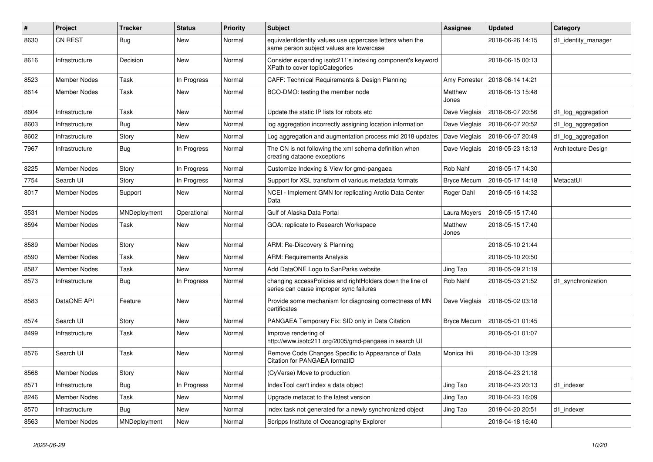| #    | Project             | Tracker      | <b>Status</b> | <b>Priority</b> | <b>Subject</b>                                                                                       | <b>Assignee</b>    | <b>Updated</b>   | Category            |
|------|---------------------|--------------|---------------|-----------------|------------------------------------------------------------------------------------------------------|--------------------|------------------|---------------------|
| 8630 | <b>CN REST</b>      | Bug          | New           | Normal          | equivalentIdentity values use uppercase letters when the<br>same person subject values are lowercase |                    | 2018-06-26 14:15 | d1 identity manager |
| 8616 | Infrastructure      | Decision     | New           | Normal          | Consider expanding isotc211's indexing component's keyword<br>XPath to cover topicCategories         |                    | 2018-06-15 00:13 |                     |
| 8523 | <b>Member Nodes</b> | Task         | In Progress   | Normal          | CAFF: Technical Requirements & Design Planning                                                       | Amy Forrester      | 2018-06-14 14:21 |                     |
| 8614 | <b>Member Nodes</b> | Task         | New           | Normal          | BCO-DMO: testing the member node                                                                     | Matthew<br>Jones   | 2018-06-13 15:48 |                     |
| 8604 | Infrastructure      | Task         | <b>New</b>    | Normal          | Update the static IP lists for robots etc                                                            | Dave Vieglais      | 2018-06-07 20:56 | d1 log aggregation  |
| 8603 | Infrastructure      | Bug          | <b>New</b>    | Normal          | log aggregation incorrectly assigning location information                                           | Dave Vieglais      | 2018-06-07 20:52 | d1_log_aggregation  |
| 8602 | Infrastructure      | Story        | <b>New</b>    | Normal          | Log aggregation and augmentation process mid 2018 updates                                            | Dave Vieglais      | 2018-06-07 20:49 | d1_log_aggregation  |
| 7967 | Infrastructure      | <b>Bug</b>   | In Progress   | Normal          | The CN is not following the xml schema definition when<br>creating dataone exceptions                | Dave Vieglais      | 2018-05-23 18:13 | Architecture Design |
| 8225 | <b>Member Nodes</b> | Story        | In Progress   | Normal          | Customize Indexing & View for gmd-pangaea                                                            | Rob Nahf           | 2018-05-17 14:30 |                     |
| 7754 | Search UI           | Story        | In Progress   | Normal          | Support for XSL transform of various metadata formats                                                | <b>Bryce Mecum</b> | 2018-05-17 14:18 | MetacatUI           |
| 8017 | <b>Member Nodes</b> | Support      | New           | Normal          | NCEI - Implement GMN for replicating Arctic Data Center<br>Data                                      | Roger Dahl         | 2018-05-16 14:32 |                     |
| 3531 | <b>Member Nodes</b> | MNDeployment | Operational   | Normal          | Gulf of Alaska Data Portal                                                                           | Laura Moyers       | 2018-05-15 17:40 |                     |
| 8594 | <b>Member Nodes</b> | Task         | New           | Normal          | GOA: replicate to Research Workspace                                                                 | Matthew<br>Jones   | 2018-05-15 17:40 |                     |
| 8589 | <b>Member Nodes</b> | Story        | <b>New</b>    | Normal          | ARM: Re-Discovery & Planning                                                                         |                    | 2018-05-10 21:44 |                     |
| 8590 | <b>Member Nodes</b> | Task         | New           | Normal          | <b>ARM: Requirements Analysis</b>                                                                    |                    | 2018-05-10 20:50 |                     |
| 8587 | <b>Member Nodes</b> | Task         | <b>New</b>    | Normal          | Add DataONE Logo to SanParks website                                                                 | Jing Tao           | 2018-05-09 21:19 |                     |
| 8573 | Infrastructure      | Bug          | In Progress   | Normal          | changing accessPolicies and rightHolders down the line of<br>series can cause improper sync failures | Rob Nahf           | 2018-05-03 21:52 | d1 synchronization  |
| 8583 | DataONE API         | Feature      | New           | Normal          | Provide some mechanism for diagnosing correctness of MN<br>certificates                              | Dave Vieglais      | 2018-05-02 03:18 |                     |
| 8574 | Search UI           | Story        | New           | Normal          | PANGAEA Temporary Fix: SID only in Data Citation                                                     | <b>Bryce Mecum</b> | 2018-05-01 01:45 |                     |
| 8499 | Infrastructure      | Task         | <b>New</b>    | Normal          | Improve rendering of<br>http://www.isotc211.org/2005/gmd-pangaea in search UI                        |                    | 2018-05-01 01:07 |                     |
| 8576 | Search UI           | Task         | <b>New</b>    | Normal          | Remove Code Changes Specific to Appearance of Data<br>Citation for PANGAEA formatID                  | Monica Ihli        | 2018-04-30 13:29 |                     |
| 8568 | <b>Member Nodes</b> | Story        | New           | Normal          | (CyVerse) Move to production                                                                         |                    | 2018-04-23 21:18 |                     |
| 8571 | Infrastructure      | <b>Bug</b>   | In Progress   | Normal          | IndexTool can't index a data object                                                                  | Jing Tao           | 2018-04-23 20:13 | d1 indexer          |
| 8246 | Member Nodes        | Task         | New           | Normal          | Upgrade metacat to the latest version                                                                | Jing Tao           | 2018-04-23 16:09 |                     |
| 8570 | Infrastructure      | <b>Bug</b>   | New           | Normal          | index task not generated for a newly synchronized object                                             | Jing Tao           | 2018-04-20 20:51 | d1 indexer          |
| 8563 | <b>Member Nodes</b> | MNDeployment | New           | Normal          | Scripps Institute of Oceanography Explorer                                                           |                    | 2018-04-18 16:40 |                     |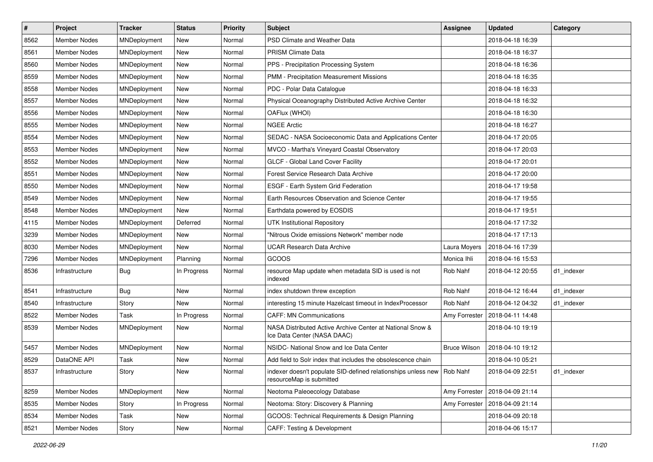| $\pmb{\#}$ | Project             | <b>Tracker</b> | <b>Status</b> | <b>Priority</b> | <b>Subject</b>                                                                                       | <b>Assignee</b>     | <b>Updated</b>                   | Category   |
|------------|---------------------|----------------|---------------|-----------------|------------------------------------------------------------------------------------------------------|---------------------|----------------------------------|------------|
| 8562       | <b>Member Nodes</b> | MNDeployment   | New           | Normal          | PSD Climate and Weather Data                                                                         |                     | 2018-04-18 16:39                 |            |
| 8561       | <b>Member Nodes</b> | MNDeployment   | New           | Normal          | <b>PRISM Climate Data</b>                                                                            |                     | 2018-04-18 16:37                 |            |
| 8560       | Member Nodes        | MNDeployment   | New           | Normal          | PPS - Precipitation Processing System                                                                |                     | 2018-04-18 16:36                 |            |
| 8559       | Member Nodes        | MNDeployment   | New           | Normal          | PMM - Precipitation Measurement Missions                                                             |                     | 2018-04-18 16:35                 |            |
| 8558       | <b>Member Nodes</b> | MNDeployment   | New           | Normal          | PDC - Polar Data Catalogue                                                                           |                     | 2018-04-18 16:33                 |            |
| 8557       | Member Nodes        | MNDeployment   | New           | Normal          | Physical Oceanography Distributed Active Archive Center                                              |                     | 2018-04-18 16:32                 |            |
| 8556       | <b>Member Nodes</b> | MNDeployment   | <b>New</b>    | Normal          | OAFlux (WHOI)                                                                                        |                     | 2018-04-18 16:30                 |            |
| 8555       | <b>Member Nodes</b> | MNDeployment   | New           | Normal          | <b>NGEE Arctic</b>                                                                                   |                     | 2018-04-18 16:27                 |            |
| 8554       | Member Nodes        | MNDeployment   | New           | Normal          | SEDAC - NASA Socioeconomic Data and Applications Center                                              |                     | 2018-04-17 20:05                 |            |
| 8553       | <b>Member Nodes</b> | MNDeployment   | New           | Normal          | MVCO - Martha's Vineyard Coastal Observatory                                                         |                     | 2018-04-17 20:03                 |            |
| 8552       | Member Nodes        | MNDeployment   | New           | Normal          | GLCF - Global Land Cover Facility                                                                    |                     | 2018-04-17 20:01                 |            |
| 8551       | <b>Member Nodes</b> | MNDeployment   | New           | Normal          | Forest Service Research Data Archive                                                                 |                     | 2018-04-17 20:00                 |            |
| 8550       | <b>Member Nodes</b> | MNDeployment   | New           | Normal          | ESGF - Earth System Grid Federation                                                                  |                     | 2018-04-17 19:58                 |            |
| 8549       | <b>Member Nodes</b> | MNDeployment   | New           | Normal          | Earth Resources Observation and Science Center                                                       |                     | 2018-04-17 19:55                 |            |
| 8548       | <b>Member Nodes</b> | MNDeployment   | New           | Normal          | Earthdata powered by EOSDIS                                                                          |                     | 2018-04-17 19:51                 |            |
| 4115       | Member Nodes        | MNDeployment   | Deferred      | Normal          | <b>UTK Institutional Repository</b>                                                                  |                     | 2018-04-17 17:32                 |            |
| 3239       | Member Nodes        | MNDeployment   | New           | Normal          | "Nitrous Oxide emissions Network" member node                                                        |                     | 2018-04-17 17:13                 |            |
| 8030       | Member Nodes        | MNDeployment   | New           | Normal          | <b>UCAR Research Data Archive</b>                                                                    | Laura Moyers        | 2018-04-16 17:39                 |            |
| 7296       | <b>Member Nodes</b> | MNDeployment   | Planning      | Normal          | GCOOS                                                                                                | Monica Ihli         | 2018-04-16 15:53                 |            |
| 8536       | Infrastructure      | <b>Bug</b>     | In Progress   | Normal          | resource Map update when metadata SID is used is not<br>indexed                                      | Rob Nahf            | 2018-04-12 20:55                 | d1 indexer |
| 8541       | Infrastructure      | <b>Bug</b>     | New           | Normal          | index shutdown threw exception                                                                       | Rob Nahf            | 2018-04-12 16:44                 | d1 indexer |
| 8540       | Infrastructure      | Story          | New           | Normal          | interesting 15 minute Hazelcast timeout in IndexProcessor                                            | Rob Nahf            | 2018-04-12 04:32                 | d1 indexer |
| 8522       | Member Nodes        | Task           | In Progress   | Normal          | <b>CAFF: MN Communications</b>                                                                       | Amy Forrester       | 2018-04-11 14:48                 |            |
| 8539       | Member Nodes        | MNDeployment   | New           | Normal          | NASA Distributed Active Archive Center at National Snow &<br>Ice Data Center (NASA DAAC)             |                     | 2018-04-10 19:19                 |            |
| 5457       | <b>Member Nodes</b> | MNDeployment   | New           | Normal          | NSIDC- National Snow and Ice Data Center                                                             | <b>Bruce Wilson</b> | 2018-04-10 19:12                 |            |
| 8529       | DataONE API         | Task           | New           | Normal          | Add field to Solr index that includes the obsolescence chain                                         |                     | 2018-04-10 05:21                 |            |
| 8537       | Infrastructure      | Story          | New           | Normal          | indexer doesn't populate SID-defined relationships unless new   Rob Nahf<br>resourceMap is submitted |                     | 2018-04-09 22:51                 | d1_indexer |
| 8259       | Member Nodes        | MNDeployment   | New           | Normal          | Neotoma Paleoecology Database                                                                        |                     | Amy Forrester   2018-04-09 21:14 |            |
| 8535       | Member Nodes        | Story          | In Progress   | Normal          | Neotoma: Story: Discovery & Planning                                                                 | Amy Forrester       | 2018-04-09 21:14                 |            |
| 8534       | Member Nodes        | Task           | New           | Normal          | GCOOS: Technical Requirements & Design Planning                                                      |                     | 2018-04-09 20:18                 |            |
| 8521       | Member Nodes        | Story          | New           | Normal          | CAFF: Testing & Development                                                                          |                     | 2018-04-06 15:17                 |            |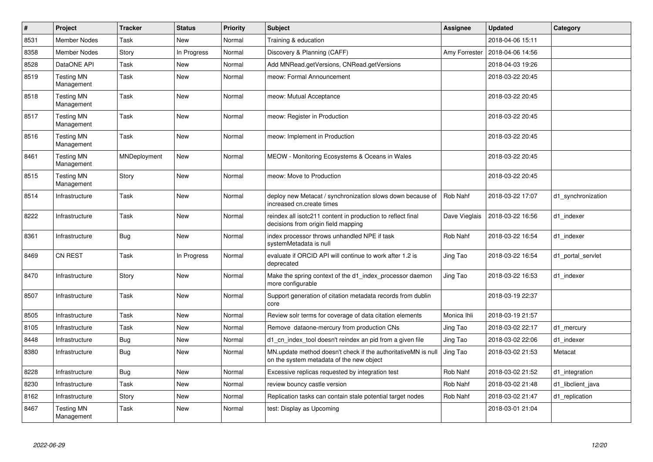| $\vert$ # | Project                         | <b>Tracker</b> | <b>Status</b> | <b>Priority</b> | <b>Subject</b>                                                                                            | <b>Assignee</b> | <b>Updated</b>   | Category           |
|-----------|---------------------------------|----------------|---------------|-----------------|-----------------------------------------------------------------------------------------------------------|-----------------|------------------|--------------------|
| 8531      | <b>Member Nodes</b>             | Task           | <b>New</b>    | Normal          | Training & education                                                                                      |                 | 2018-04-06 15:11 |                    |
| 8358      | <b>Member Nodes</b>             | Story          | In Progress   | Normal          | Discovery & Planning (CAFF)                                                                               | Amy Forrester   | 2018-04-06 14:56 |                    |
| 8528      | DataONE API                     | Task           | New           | Normal          | Add MNRead.getVersions, CNRead.getVersions                                                                |                 | 2018-04-03 19:26 |                    |
| 8519      | <b>Testing MN</b><br>Management | Task           | <b>New</b>    | Normal          | meow: Formal Announcement                                                                                 |                 | 2018-03-22 20:45 |                    |
| 8518      | <b>Testing MN</b><br>Management | Task           | New           | Normal          | meow: Mutual Acceptance                                                                                   |                 | 2018-03-22 20:45 |                    |
| 8517      | <b>Testing MN</b><br>Management | Task           | <b>New</b>    | Normal          | meow: Register in Production                                                                              |                 | 2018-03-22 20:45 |                    |
| 8516      | <b>Testing MN</b><br>Management | Task           | New           | Normal          | meow: Implement in Production                                                                             |                 | 2018-03-22 20:45 |                    |
| 8461      | <b>Testing MN</b><br>Management | MNDeployment   | New           | Normal          | MEOW - Monitoring Ecosystems & Oceans in Wales                                                            |                 | 2018-03-22 20:45 |                    |
| 8515      | <b>Testing MN</b><br>Management | Story          | New           | Normal          | meow: Move to Production                                                                                  |                 | 2018-03-22 20:45 |                    |
| 8514      | Infrastructure                  | Task           | <b>New</b>    | Normal          | deploy new Metacat / synchronization slows down because of<br>increased cn.create times                   | Rob Nahf        | 2018-03-22 17:07 | d1 synchronization |
| 8222      | Infrastructure                  | Task           | <b>New</b>    | Normal          | reindex all isotc211 content in production to reflect final<br>decisions from origin field mapping        | Dave Vieglais   | 2018-03-22 16:56 | d1 indexer         |
| 8361      | Infrastructure                  | <b>Bug</b>     | <b>New</b>    | Normal          | index processor throws unhandled NPE if task<br>systemMetadata is null                                    | Rob Nahf        | 2018-03-22 16:54 | d1 indexer         |
| 8469      | CN REST                         | Task           | In Progress   | Normal          | evaluate if ORCID API will continue to work after 1.2 is<br>deprecated                                    | Jing Tao        | 2018-03-22 16:54 | d1 portal servlet  |
| 8470      | Infrastructure                  | Story          | New           | Normal          | Make the spring context of the d1 index processor daemon<br>more configurable                             | Jing Tao        | 2018-03-22 16:53 | d1 indexer         |
| 8507      | Infrastructure                  | Task           | New           | Normal          | Support generation of citation metadata records from dublin<br>core                                       |                 | 2018-03-19 22:37 |                    |
| 8505      | Infrastructure                  | Task           | New           | Normal          | Review solr terms for coverage of data citation elements                                                  | Monica Ihli     | 2018-03-19 21:57 |                    |
| 8105      | Infrastructure                  | Task           | New           | Normal          | Remove dataone-mercury from production CNs                                                                | Jing Tao        | 2018-03-02 22:17 | d1 mercury         |
| 8448      | Infrastructure                  | <b>Bug</b>     | <b>New</b>    | Normal          | d1_cn_index_tool doesn't reindex an pid from a given file                                                 | Jing Tao        | 2018-03-02 22:06 | d1 indexer         |
| 8380      | Infrastructure                  | Bug            | New           | Normal          | MN.update method doesn't check if the authoritativeMN is null<br>on the system metadata of the new object | Jing Tao        | 2018-03-02 21:53 | Metacat            |
| 8228      | Infrastructure                  | Bug            | New           | Normal          | Excessive replicas requested by integration test                                                          | Rob Nahf        | 2018-03-02 21:52 | d1 integration     |
| 8230      | Infrastructure                  | Task           | New           | Normal          | review bouncy castle version                                                                              | Rob Nahf        | 2018-03-02 21:48 | d1 libclient java  |
| 8162      | Infrastructure                  | Story          | New           | Normal          | Replication tasks can contain stale potential target nodes                                                | Rob Nahf        | 2018-03-02 21:47 | d1 replication     |
| 8467      | <b>Testing MN</b><br>Management | Task           | <b>New</b>    | Normal          | test: Display as Upcoming                                                                                 |                 | 2018-03-01 21:04 |                    |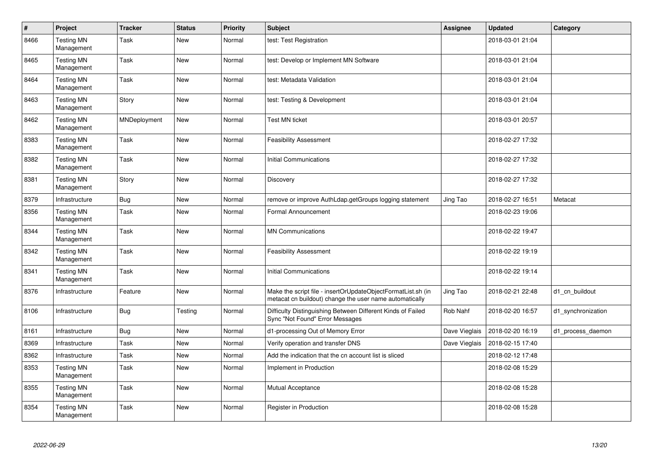| #    | Project                         | <b>Tracker</b> | <b>Status</b> | Priority | <b>Subject</b>                                                                                                          | Assignee      | <b>Updated</b>   | Category           |
|------|---------------------------------|----------------|---------------|----------|-------------------------------------------------------------------------------------------------------------------------|---------------|------------------|--------------------|
| 8466 | <b>Testing MN</b><br>Management | Task           | <b>New</b>    | Normal   | test: Test Registration                                                                                                 |               | 2018-03-01 21:04 |                    |
| 8465 | <b>Testing MN</b><br>Management | Task           | New           | Normal   | test: Develop or Implement MN Software                                                                                  |               | 2018-03-01 21:04 |                    |
| 8464 | <b>Testing MN</b><br>Management | Task           | <b>New</b>    | Normal   | test: Metadata Validation                                                                                               |               | 2018-03-01 21:04 |                    |
| 8463 | <b>Testing MN</b><br>Management | Story          | New           | Normal   | test: Testing & Development                                                                                             |               | 2018-03-01 21:04 |                    |
| 8462 | <b>Testing MN</b><br>Management | MNDeployment   | <b>New</b>    | Normal   | <b>Test MN ticket</b>                                                                                                   |               | 2018-03-01 20:57 |                    |
| 8383 | <b>Testing MN</b><br>Management | Task           | New           | Normal   | <b>Feasibility Assessment</b>                                                                                           |               | 2018-02-27 17:32 |                    |
| 8382 | <b>Testing MN</b><br>Management | Task           | New           | Normal   | <b>Initial Communications</b>                                                                                           |               | 2018-02-27 17:32 |                    |
| 8381 | <b>Testing MN</b><br>Management | Story          | <b>New</b>    | Normal   | Discovery                                                                                                               |               | 2018-02-27 17:32 |                    |
| 8379 | Infrastructure                  | Bug            | <b>New</b>    | Normal   | remove or improve AuthLdap.getGroups logging statement                                                                  | Jing Tao      | 2018-02-27 16:51 | Metacat            |
| 8356 | <b>Testing MN</b><br>Management | Task           | New           | Normal   | Formal Announcement                                                                                                     |               | 2018-02-23 19:06 |                    |
| 8344 | <b>Testing MN</b><br>Management | Task           | <b>New</b>    | Normal   | <b>MN Communications</b>                                                                                                |               | 2018-02-22 19:47 |                    |
| 8342 | <b>Testing MN</b><br>Management | Task           | New           | Normal   | <b>Feasibility Assessment</b>                                                                                           |               | 2018-02-22 19:19 |                    |
| 8341 | <b>Testing MN</b><br>Management | Task           | New           | Normal   | <b>Initial Communications</b>                                                                                           |               | 2018-02-22 19:14 |                    |
| 8376 | Infrastructure                  | Feature        | <b>New</b>    | Normal   | Make the script file - insertOrUpdateObjectFormatList.sh (in<br>metacat cn buildout) change the user name automatically | Jing Tao      | 2018-02-21 22:48 | d1 cn buildout     |
| 8106 | Infrastructure                  | <b>Bug</b>     | Testing       | Normal   | Difficulty Distinguishing Between Different Kinds of Failed<br>Sync "Not Found" Error Messages                          | Rob Nahf      | 2018-02-20 16:57 | d1_synchronization |
| 8161 | Infrastructure                  | <b>Bug</b>     | <b>New</b>    | Normal   | d1-processing Out of Memory Error                                                                                       | Dave Vieglais | 2018-02-20 16:19 | d1_process_daemon  |
| 8369 | Infrastructure                  | Task           | <b>New</b>    | Normal   | Verify operation and transfer DNS                                                                                       | Dave Vieglais | 2018-02-15 17:40 |                    |
| 8362 | Infrastructure                  | Task           | <b>New</b>    | Normal   | Add the indication that the cn account list is sliced                                                                   |               | 2018-02-12 17:48 |                    |
| 8353 | <b>Testing MN</b><br>Management | Task           | New           | Normal   | Implement in Production                                                                                                 |               | 2018-02-08 15:29 |                    |
| 8355 | <b>Testing MN</b><br>Management | Task           | <b>New</b>    | Normal   | <b>Mutual Acceptance</b>                                                                                                |               | 2018-02-08 15:28 |                    |
| 8354 | <b>Testing MN</b><br>Management | Task           | <b>New</b>    | Normal   | Register in Production                                                                                                  |               | 2018-02-08 15:28 |                    |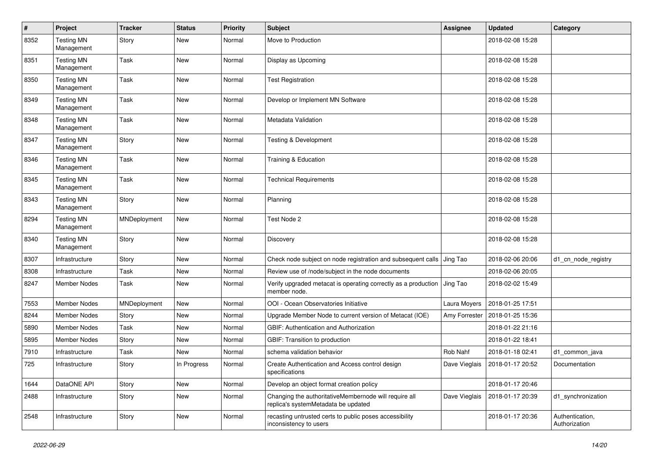| $\#$ | Project                         | <b>Tracker</b> | <b>Status</b> | <b>Priority</b> | <b>Subject</b>                                                                               | <b>Assignee</b> | <b>Updated</b>   | Category                         |
|------|---------------------------------|----------------|---------------|-----------------|----------------------------------------------------------------------------------------------|-----------------|------------------|----------------------------------|
| 8352 | <b>Testing MN</b><br>Management | Story          | New           | Normal          | Move to Production                                                                           |                 | 2018-02-08 15:28 |                                  |
| 8351 | <b>Testing MN</b><br>Management | Task           | <b>New</b>    | Normal          | Display as Upcoming                                                                          |                 | 2018-02-08 15:28 |                                  |
| 8350 | <b>Testing MN</b><br>Management | Task           | New           | Normal          | <b>Test Registration</b>                                                                     |                 | 2018-02-08 15:28 |                                  |
| 8349 | <b>Testing MN</b><br>Management | Task           | New           | Normal          | Develop or Implement MN Software                                                             |                 | 2018-02-08 15:28 |                                  |
| 8348 | <b>Testing MN</b><br>Management | Task           | New           | Normal          | Metadata Validation                                                                          |                 | 2018-02-08 15:28 |                                  |
| 8347 | <b>Testing MN</b><br>Management | Story          | <b>New</b>    | Normal          | <b>Testing &amp; Development</b>                                                             |                 | 2018-02-08 15:28 |                                  |
| 8346 | <b>Testing MN</b><br>Management | Task           | <b>New</b>    | Normal          | Training & Education                                                                         |                 | 2018-02-08 15:28 |                                  |
| 8345 | <b>Testing MN</b><br>Management | Task           | New           | Normal          | <b>Technical Requirements</b>                                                                |                 | 2018-02-08 15:28 |                                  |
| 8343 | <b>Testing MN</b><br>Management | Story          | <b>New</b>    | Normal          | Planning                                                                                     |                 | 2018-02-08 15:28 |                                  |
| 8294 | <b>Testing MN</b><br>Management | MNDeployment   | <b>New</b>    | Normal          | Test Node 2                                                                                  |                 | 2018-02-08 15:28 |                                  |
| 8340 | <b>Testing MN</b><br>Management | Story          | New           | Normal          | Discovery                                                                                    |                 | 2018-02-08 15:28 |                                  |
| 8307 | Infrastructure                  | Story          | New           | Normal          | Check node subject on node registration and subsequent calls                                 | Jing Tao        | 2018-02-06 20:06 | d1_cn_node_registry              |
| 8308 | Infrastructure                  | Task           | <b>New</b>    | Normal          | Review use of /node/subject in the node documents                                            |                 | 2018-02-06 20:05 |                                  |
| 8247 | Member Nodes                    | Task           | New           | Normal          | Verify upgraded metacat is operating correctly as a production<br>member node.               | Jing Tao        | 2018-02-02 15:49 |                                  |
| 7553 | <b>Member Nodes</b>             | MNDeployment   | <b>New</b>    | Normal          | OOI - Ocean Observatories Initiative                                                         | Laura Moyers    | 2018-01-25 17:51 |                                  |
| 8244 | <b>Member Nodes</b>             | Story          | New           | Normal          | Upgrade Member Node to current version of Metacat (IOE)                                      | Amy Forrester   | 2018-01-25 15:36 |                                  |
| 5890 | <b>Member Nodes</b>             | Task           | <b>New</b>    | Normal          | GBIF: Authentication and Authorization                                                       |                 | 2018-01-22 21:16 |                                  |
| 5895 | <b>Member Nodes</b>             | Story          | New           | Normal          | GBIF: Transition to production                                                               |                 | 2018-01-22 18:41 |                                  |
| 7910 | Infrastructure                  | Task           | New           | Normal          | schema validation behavior                                                                   | Rob Nahf        | 2018-01-18 02:41 | d1_common_java                   |
| 725  | Infrastructure                  | Story          | In Progress   | Normal          | Create Authentication and Access control design<br>specifications                            | Dave Vieglais   | 2018-01-17 20:52 | Documentation                    |
| 1644 | DataONE API                     | Story          | <b>New</b>    | Normal          | Develop an object format creation policy                                                     |                 | 2018-01-17 20:46 |                                  |
| 2488 | Infrastructure                  | Story          | New           | Normal          | Changing the authoritativeMembernode will require all<br>replica's systemMetadata be updated | Dave Vieglais   | 2018-01-17 20:39 | d1_synchronization               |
| 2548 | Infrastructure                  | Story          | New           | Normal          | recasting untrusted certs to public poses accessibility<br>inconsistency to users            |                 | 2018-01-17 20:36 | Authentication,<br>Authorization |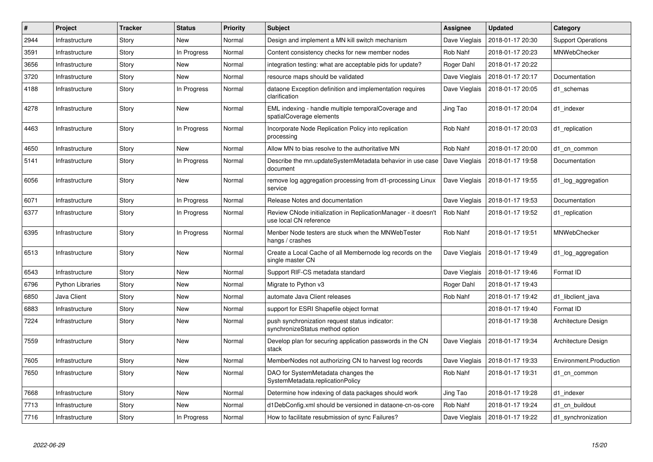| $\#$ | Project                 | <b>Tracker</b> | <b>Status</b> | <b>Priority</b> | <b>Subject</b>                                                                           | <b>Assignee</b> | <b>Updated</b>   | Category                  |
|------|-------------------------|----------------|---------------|-----------------|------------------------------------------------------------------------------------------|-----------------|------------------|---------------------------|
| 2944 | Infrastructure          | Story          | New           | Normal          | Design and implement a MN kill switch mechanism                                          | Dave Vieglais   | 2018-01-17 20:30 | <b>Support Operations</b> |
| 3591 | Infrastructure          | Story          | In Progress   | Normal          | Content consistency checks for new member nodes                                          | Rob Nahf        | 2018-01-17 20:23 | <b>MNWebChecker</b>       |
| 3656 | Infrastructure          | Story          | New           | Normal          | integration testing: what are acceptable pids for update?                                | Roger Dahl      | 2018-01-17 20:22 |                           |
| 3720 | Infrastructure          | Story          | <b>New</b>    | Normal          | resource maps should be validated                                                        | Dave Vieglais   | 2018-01-17 20:17 | Documentation             |
| 4188 | Infrastructure          | Story          | In Progress   | Normal          | dataone Exception definition and implementation requires<br>clarification                | Dave Vieglais   | 2018-01-17 20:05 | d1 schemas                |
| 4278 | Infrastructure          | Story          | New           | Normal          | EML indexing - handle multiple temporalCoverage and<br>spatialCoverage elements          | Jing Tao        | 2018-01-17 20:04 | d1 indexer                |
| 4463 | Infrastructure          | Story          | In Progress   | Normal          | Incorporate Node Replication Policy into replication<br>processing                       | Rob Nahf        | 2018-01-17 20:03 | d1 replication            |
| 4650 | Infrastructure          | Story          | New           | Normal          | Allow MN to bias resolve to the authoritative MN                                         | Rob Nahf        | 2018-01-17 20:00 | d1 cn common              |
| 5141 | Infrastructure          | Story          | In Progress   | Normal          | Describe the mn.updateSystemMetadata behavior in use case<br>document                    | Dave Vieglais   | 2018-01-17 19:58 | Documentation             |
| 6056 | Infrastructure          | Story          | New           | Normal          | remove log aggregation processing from d1-processing Linux<br>service                    | Dave Vieglais   | 2018-01-17 19:55 | d1_log_aggregation        |
| 6071 | Infrastructure          | Story          | In Progress   | Normal          | Release Notes and documentation                                                          | Dave Vieglais   | 2018-01-17 19:53 | Documentation             |
| 6377 | Infrastructure          | Story          | In Progress   | Normal          | Review CNode initialization in ReplicationManager - it doesn't<br>use local CN reference | Rob Nahf        | 2018-01-17 19:52 | d1_replication            |
| 6395 | Infrastructure          | Story          | In Progress   | Normal          | Menber Node testers are stuck when the MNWebTester<br>hangs / crashes                    | Rob Nahf        | 2018-01-17 19:51 | MNWebChecker              |
| 6513 | Infrastructure          | Story          | New           | Normal          | Create a Local Cache of all Membernode log records on the<br>single master CN            | Dave Vieglais   | 2018-01-17 19:49 | d1_log_aggregation        |
| 6543 | Infrastructure          | Story          | New           | Normal          | Support RIF-CS metadata standard                                                         | Dave Vieglais   | 2018-01-17 19:46 | Format ID                 |
| 6796 | <b>Python Libraries</b> | Story          | <b>New</b>    | Normal          | Migrate to Python v3                                                                     | Roger Dahl      | 2018-01-17 19:43 |                           |
| 6850 | Java Client             | Story          | New           | Normal          | automate Java Client releases                                                            | Rob Nahf        | 2018-01-17 19:42 | d1 libclient java         |
| 6883 | Infrastructure          | Story          | <b>New</b>    | Normal          | support for ESRI Shapefile object format                                                 |                 | 2018-01-17 19:40 | Format ID                 |
| 7224 | Infrastructure          | Story          | New           | Normal          | push synchronization request status indicator:<br>synchronizeStatus method option        |                 | 2018-01-17 19:38 | Architecture Design       |
| 7559 | Infrastructure          | Story          | <b>New</b>    | Normal          | Develop plan for securing application passwords in the CN<br>stack                       | Dave Vieglais   | 2018-01-17 19:34 | Architecture Design       |
| 7605 | Infrastructure          | Story          | <b>New</b>    | Normal          | MemberNodes not authorizing CN to harvest log records                                    | Dave Vieglais   | 2018-01-17 19:33 | Environment.Production    |
| 7650 | Infrastructure          | Story          | New           | Normal          | DAO for SystemMetadata changes the<br>SystemMetadata.replicationPolicy                   | Rob Nahf        | 2018-01-17 19:31 | d1 cn common              |
| 7668 | Infrastructure          | Story          | New           | Normal          | Determine how indexing of data packages should work                                      | Jing Tao        | 2018-01-17 19:28 | d1 indexer                |
| 7713 | Infrastructure          | Story          | <b>New</b>    | Normal          | d1DebConfig.xml should be versioned in dataone-cn-os-core                                | Rob Nahf        | 2018-01-17 19:24 | d1 cn buildout            |
| 7716 | Infrastructure          | Story          | In Progress   | Normal          | How to facilitate resubmission of sync Failures?                                         | Dave Vieglais   | 2018-01-17 19:22 | d1 synchronization        |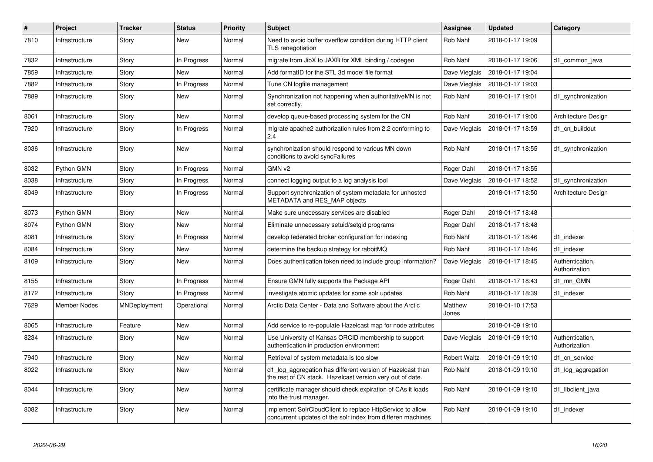| #    | Project        | <b>Tracker</b> | <b>Status</b> | <b>Priority</b> | <b>Subject</b>                                                                                                           | <b>Assignee</b>     | <b>Updated</b>   | Category                         |
|------|----------------|----------------|---------------|-----------------|--------------------------------------------------------------------------------------------------------------------------|---------------------|------------------|----------------------------------|
| 7810 | Infrastructure | Story          | <b>New</b>    | Normal          | Need to avoid buffer overflow condition during HTTP client<br>TLS renegotiation                                          | Rob Nahf            | 2018-01-17 19:09 |                                  |
| 7832 | Infrastructure | Story          | In Progress   | Normal          | migrate from JibX to JAXB for XML binding / codegen                                                                      | Rob Nahf            | 2018-01-17 19:06 | d1_common_java                   |
| 7859 | Infrastructure | Story          | New           | Normal          | Add formatID for the STL 3d model file format                                                                            | Dave Vieglais       | 2018-01-17 19:04 |                                  |
| 7882 | Infrastructure | Story          | In Progress   | Normal          | Tune CN logfile management                                                                                               | Dave Vieglais       | 2018-01-17 19:03 |                                  |
| 7889 | Infrastructure | Story          | New           | Normal          | Synchronization not happening when authoritativeMN is not<br>set correctly.                                              | Rob Nahf            | 2018-01-17 19:01 | d1 synchronization               |
| 8061 | Infrastructure | Story          | New           | Normal          | develop queue-based processing system for the CN                                                                         | Rob Nahf            | 2018-01-17 19:00 | Architecture Design              |
| 7920 | Infrastructure | Story          | In Progress   | Normal          | migrate apache2 authorization rules from 2.2 conforming to<br>2.4                                                        | Dave Vieglais       | 2018-01-17 18:59 | d1 cn buildout                   |
| 8036 | Infrastructure | Story          | New           | Normal          | synchronization should respond to various MN down<br>conditions to avoid syncFailures                                    | Rob Nahf            | 2018-01-17 18:55 | d1_synchronization               |
| 8032 | Python GMN     | Story          | In Progress   | Normal          | GMN v2                                                                                                                   | Roger Dahl          | 2018-01-17 18:55 |                                  |
| 8038 | Infrastructure | Story          | In Progress   | Normal          | connect logging output to a log analysis tool                                                                            | Dave Vieglais       | 2018-01-17 18:52 | d1_synchronization               |
| 8049 | Infrastructure | Story          | In Progress   | Normal          | Support synchronization of system metadata for unhosted<br>METADATA and RES MAP objects                                  |                     | 2018-01-17 18:50 | Architecture Design              |
| 8073 | Python GMN     | Story          | <b>New</b>    | Normal          | Make sure unecessary services are disabled                                                                               | Roger Dahl          | 2018-01-17 18:48 |                                  |
| 8074 | Python GMN     | Story          | <b>New</b>    | Normal          | Eliminate unnecessary setuid/setgid programs                                                                             | Roger Dahl          | 2018-01-17 18:48 |                                  |
| 8081 | Infrastructure | Story          | In Progress   | Normal          | develop federated broker configuration for indexing                                                                      | Rob Nahf            | 2018-01-17 18:46 | d1 indexer                       |
| 8084 | Infrastructure | Story          | New           | Normal          | determine the backup strategy for rabbitMQ                                                                               | Rob Nahf            | 2018-01-17 18:46 | d1 indexer                       |
| 8109 | Infrastructure | Story          | New           | Normal          | Does authentication token need to include group information?                                                             | Dave Vieglais       | 2018-01-17 18:45 | Authentication,<br>Authorization |
| 8155 | Infrastructure | Story          | In Progress   | Normal          | Ensure GMN fully supports the Package API                                                                                | Roger Dahl          | 2018-01-17 18:43 | d1 mn GMN                        |
| 8172 | Infrastructure | Story          | In Progress   | Normal          | investigate atomic updates for some solr updates                                                                         | Rob Nahf            | 2018-01-17 18:39 | d1 indexer                       |
| 7629 | Member Nodes   | MNDeployment   | Operational   | Normal          | Arctic Data Center - Data and Software about the Arctic                                                                  | Matthew<br>Jones    | 2018-01-10 17:53 |                                  |
| 8065 | Infrastructure | Feature        | New           | Normal          | Add service to re-populate Hazelcast map for node attributes                                                             |                     | 2018-01-09 19:10 |                                  |
| 8234 | Infrastructure | Story          | New           | Normal          | Use University of Kansas ORCID membership to support<br>authentication in production environment                         | Dave Vieglais       | 2018-01-09 19:10 | Authentication,<br>Authorization |
| 7940 | Infrastructure | Story          | <b>New</b>    | Normal          | Retrieval of system metadata is too slow                                                                                 | <b>Robert Waltz</b> | 2018-01-09 19:10 | d1 cn service                    |
| 8022 | Infrastructure | Story          | New           | Normal          | d1_log_aggregation has different version of Hazelcast than<br>the rest of CN stack. Hazelcast version very out of date.  | Rob Nahf            | 2018-01-09 19:10 | d1_log_aggregation               |
| 8044 | Infrastructure | Story          | <b>New</b>    | Normal          | certificate manager should check expiration of CAs it loads<br>into the trust manager.                                   | Rob Nahf            | 2018-01-09 19:10 | d1_libclient_java                |
| 8082 | Infrastructure | Story          | <b>New</b>    | Normal          | implement SolrCloudClient to replace HttpService to allow<br>concurrent updates of the solr index from differen machines | Rob Nahf            | 2018-01-09 19:10 | d1 indexer                       |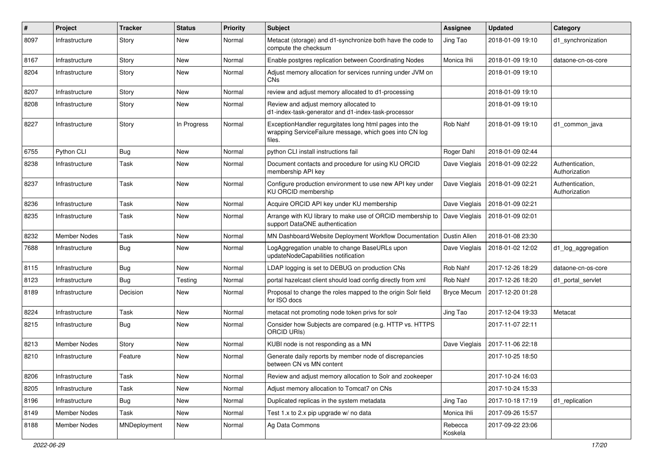| ∦    | Project             | <b>Tracker</b> | <b>Status</b> | <b>Priority</b> | <b>Subject</b>                                                                                                              | Assignee           | <b>Updated</b>   | Category                         |
|------|---------------------|----------------|---------------|-----------------|-----------------------------------------------------------------------------------------------------------------------------|--------------------|------------------|----------------------------------|
| 8097 | Infrastructure      | Story          | New           | Normal          | Metacat (storage) and d1-synchronize both have the code to<br>compute the checksum                                          | Jing Tao           | 2018-01-09 19:10 | d1_synchronization               |
| 8167 | Infrastructure      | Story          | New           | Normal          | Enable postgres replication between Coordinating Nodes                                                                      | Monica Ihli        | 2018-01-09 19:10 | dataone-cn-os-core               |
| 8204 | Infrastructure      | Story          | New           | Normal          | Adjust memory allocation for services running under JVM on<br>CN <sub>s</sub>                                               |                    | 2018-01-09 19:10 |                                  |
| 8207 | Infrastructure      | Story          | New           | Normal          | review and adjust memory allocated to d1-processing                                                                         |                    | 2018-01-09 19:10 |                                  |
| 8208 | Infrastructure      | Story          | New           | Normal          | Review and adjust memory allocated to<br>d1-index-task-generator and d1-index-task-processor                                |                    | 2018-01-09 19:10 |                                  |
| 8227 | Infrastructure      | Story          | In Progress   | Normal          | ExceptionHandler regurgitates long html pages into the<br>wrapping ServiceFailure message, which goes into CN log<br>files. | <b>Rob Nahf</b>    | 2018-01-09 19:10 | d1 common java                   |
| 6755 | Python CLI          | <b>Bug</b>     | New           | Normal          | python CLI install instructions fail                                                                                        | Roger Dahl         | 2018-01-09 02:44 |                                  |
| 8238 | Infrastructure      | Task           | New           | Normal          | Document contacts and procedure for using KU ORCID<br>membership API key                                                    | Dave Vieglais      | 2018-01-09 02:22 | Authentication,<br>Authorization |
| 8237 | Infrastructure      | Task           | New           | Normal          | Configure production environment to use new API key under<br>KU ORCID membership                                            | Dave Vieglais      | 2018-01-09 02:21 | Authentication,<br>Authorization |
| 8236 | Infrastructure      | Task           | New           | Normal          | Acquire ORCID API key under KU membership                                                                                   | Dave Vieglais      | 2018-01-09 02:21 |                                  |
| 8235 | Infrastructure      | Task           | New           | Normal          | Arrange with KU library to make use of ORCID membership to<br>support DataONE authentication                                | Dave Vieglais      | 2018-01-09 02:01 |                                  |
| 8232 | <b>Member Nodes</b> | Task           | <b>New</b>    | Normal          | MN Dashboard/Website Deployment Workflow Documentation                                                                      | Dustin Allen       | 2018-01-08 23:30 |                                  |
| 7688 | Infrastructure      | <b>Bug</b>     | New           | Normal          | LogAggregation unable to change BaseURLs upon<br>updateNodeCapabilities notification                                        | Dave Vieglais      | 2018-01-02 12:02 | d1_log_aggregation               |
| 8115 | Infrastructure      | <b>Bug</b>     | New           | Normal          | LDAP logging is set to DEBUG on production CNs                                                                              | Rob Nahf           | 2017-12-26 18:29 | dataone-cn-os-core               |
| 8123 | Infrastructure      | Bug            | Testing       | Normal          | portal hazelcast client should load config directly from xml                                                                | Rob Nahf           | 2017-12-26 18:20 | d1 portal servlet                |
| 8189 | Infrastructure      | Decision       | New           | Normal          | Proposal to change the roles mapped to the origin Solr field<br>for ISO docs                                                | <b>Bryce Mecum</b> | 2017-12-20 01:28 |                                  |
| 8224 | Infrastructure      | Task           | <b>New</b>    | Normal          | metacat not promoting node token privs for solr                                                                             | Jing Tao           | 2017-12-04 19:33 | Metacat                          |
| 8215 | Infrastructure      | <b>Bug</b>     | New           | Normal          | Consider how Subjects are compared (e.g. HTTP vs. HTTPS<br>ORCID URIs)                                                      |                    | 2017-11-07 22:11 |                                  |
| 8213 | <b>Member Nodes</b> | Story          | New           | Normal          | KUBI node is not responding as a MN                                                                                         | Dave Vieglais      | 2017-11-06 22:18 |                                  |
| 8210 | Infrastructure      | Feature        | New           | Normal          | Generate daily reports by member node of discrepancies<br>between CN vs MN content                                          |                    | 2017-10-25 18:50 |                                  |
| 8206 | Infrastructure      | Task           | New           | Normal          | Review and adjust memory allocation to Solr and zookeeper                                                                   |                    | 2017-10-24 16:03 |                                  |
| 8205 | Infrastructure      | Task           | New           | Normal          | Adjust memory allocation to Tomcat7 on CNs                                                                                  |                    | 2017-10-24 15:33 |                                  |
| 8196 | Infrastructure      | <b>Bug</b>     | New           | Normal          | Duplicated replicas in the system metadata                                                                                  | Jing Tao           | 2017-10-18 17:19 | d1_replication                   |
| 8149 | Member Nodes        | Task           | New           | Normal          | Test 1.x to 2.x pip upgrade w/ no data                                                                                      | Monica Ihli        | 2017-09-26 15:57 |                                  |
| 8188 | Member Nodes        | MNDeployment   | New           | Normal          | Ag Data Commons                                                                                                             | Rebecca<br>Koskela | 2017-09-22 23:06 |                                  |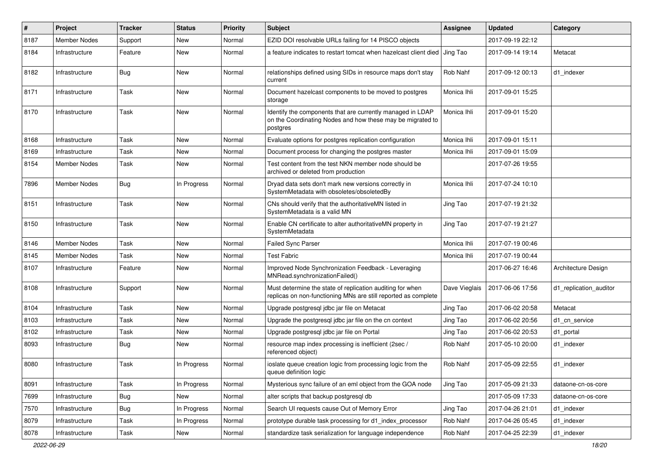| #    | Project             | <b>Tracker</b> | <b>Status</b> | <b>Priority</b> | <b>Subject</b>                                                                                                                       | <b>Assignee</b> | <b>Updated</b>   | Category               |
|------|---------------------|----------------|---------------|-----------------|--------------------------------------------------------------------------------------------------------------------------------------|-----------------|------------------|------------------------|
| 8187 | <b>Member Nodes</b> | Support        | New           | Normal          | EZID DOI resolvable URLs failing for 14 PISCO objects                                                                                |                 | 2017-09-19 22:12 |                        |
| 8184 | Infrastructure      | Feature        | <b>New</b>    | Normal          | a feature indicates to restart tomcat when hazelcast client died                                                                     | Jing Tao        | 2017-09-14 19:14 | Metacat                |
| 8182 | Infrastructure      | <b>Bug</b>     | New           | Normal          | relationships defined using SIDs in resource maps don't stay<br>current                                                              | Rob Nahf        | 2017-09-12 00:13 | d1 indexer             |
| 8171 | Infrastructure      | Task           | <b>New</b>    | Normal          | Document hazelcast components to be moved to postgres<br>storage                                                                     | Monica Ihli     | 2017-09-01 15:25 |                        |
| 8170 | Infrastructure      | Task           | <b>New</b>    | Normal          | Identify the components that are currently managed in LDAP<br>on the Coordinating Nodes and how these may be migrated to<br>postgres | Monica Ihli     | 2017-09-01 15:20 |                        |
| 8168 | Infrastructure      | Task           | New           | Normal          | Evaluate options for postgres replication configuration                                                                              | Monica Ihli     | 2017-09-01 15:11 |                        |
| 8169 | Infrastructure      | Task           | New           | Normal          | Document process for changing the postgres master                                                                                    | Monica Ihli     | 2017-09-01 15:09 |                        |
| 8154 | Member Nodes        | Task           | <b>New</b>    | Normal          | Test content from the test NKN member node should be<br>archived or deleted from production                                          |                 | 2017-07-26 19:55 |                        |
| 7896 | <b>Member Nodes</b> | <b>Bug</b>     | In Progress   | Normal          | Dryad data sets don't mark new versions correctly in<br>SystemMetadata with obsoletes/obsoletedBy                                    | Monica Ihli     | 2017-07-24 10:10 |                        |
| 8151 | Infrastructure      | Task           | <b>New</b>    | Normal          | CNs should verify that the authoritativeMN listed in<br>SystemMetadata is a valid MN                                                 | Jing Tao        | 2017-07-19 21:32 |                        |
| 8150 | Infrastructure      | Task           | <b>New</b>    | Normal          | Enable CN certificate to alter authoritativeMN property in<br>SystemMetadata                                                         | Jing Tao        | 2017-07-19 21:27 |                        |
| 8146 | <b>Member Nodes</b> | Task           | <b>New</b>    | Normal          | <b>Failed Sync Parser</b>                                                                                                            | Monica Ihli     | 2017-07-19 00:46 |                        |
| 8145 | Member Nodes        | Task           | New           | Normal          | <b>Test Fabric</b>                                                                                                                   | Monica Ihli     | 2017-07-19 00:44 |                        |
| 8107 | Infrastructure      | Feature        | New           | Normal          | Improved Node Synchronization Feedback - Leveraging<br>MNRead.synchronizationFailed()                                                |                 | 2017-06-27 16:46 | Architecture Design    |
| 8108 | Infrastructure      | Support        | New           | Normal          | Must determine the state of replication auditing for when<br>replicas on non-functioning MNs are still reported as complete          | Dave Vieglais   | 2017-06-06 17:56 | d1 replication auditor |
| 8104 | Infrastructure      | Task           | <b>New</b>    | Normal          | Upgrade postgresql jdbc jar file on Metacat                                                                                          | Jing Tao        | 2017-06-02 20:58 | Metacat                |
| 8103 | Infrastructure      | Task           | New           | Normal          | Upgrade the postgresql jdbc jar file on the cn context                                                                               | Jing Tao        | 2017-06-02 20:56 | d1 cn service          |
| 8102 | Infrastructure      | Task           | <b>New</b>    | Normal          | Upgrade postgresql jdbc jar file on Portal                                                                                           | Jing Tao        | 2017-06-02 20:53 | d1 portal              |
| 8093 | Infrastructure      | Bug            | New           | Normal          | resource map index processing is inefficient (2sec /<br>referenced object)                                                           | Rob Nahf        | 2017-05-10 20:00 | d1 indexer             |
| 8080 | Infrastructure      | Task           | In Progress   | Normal          | ioslate queue creation logic from processing logic from the<br>queue definition logic                                                | Rob Nahf        | 2017-05-09 22:55 | d1_indexer             |
| 8091 | Infrastructure      | Task           | In Progress   | Normal          | Mysterious sync failure of an eml object from the GOA node                                                                           | Jing Tao        | 2017-05-09 21:33 | dataone-cn-os-core     |
| 7699 | Infrastructure      | <b>Bug</b>     | New           | Normal          | alter scripts that backup postgresql db                                                                                              |                 | 2017-05-09 17:33 | dataone-cn-os-core     |
| 7570 | Infrastructure      | <b>Bug</b>     | In Progress   | Normal          | Search UI requests cause Out of Memory Error                                                                                         | Jing Tao        | 2017-04-26 21:01 | d1 indexer             |
| 8079 | Infrastructure      | Task           | In Progress   | Normal          | prototype durable task processing for d1_index_processor                                                                             | Rob Nahf        | 2017-04-26 05:45 | d1 indexer             |
| 8078 | Infrastructure      | Task           | New           | Normal          | standardize task serialization for language independence                                                                             | Rob Nahf        | 2017-04-25 22:39 | d1_indexer             |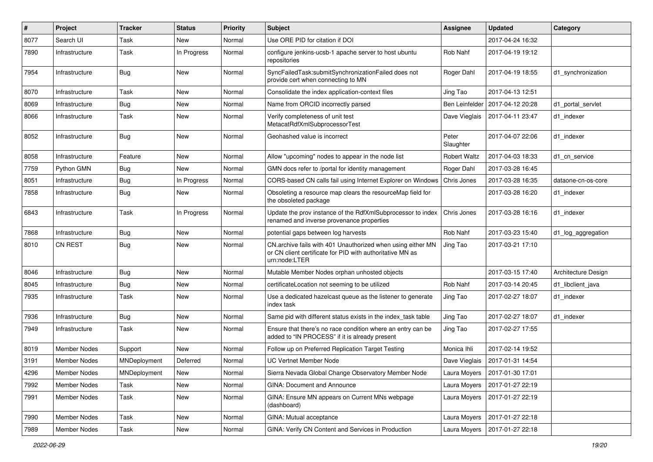| $\pmb{\#}$ | Project        | <b>Tracker</b> | <b>Status</b> | <b>Priority</b> | Subject                                                                                                                                   | Assignee            | <b>Updated</b>   | Category            |
|------------|----------------|----------------|---------------|-----------------|-------------------------------------------------------------------------------------------------------------------------------------------|---------------------|------------------|---------------------|
| 8077       | Search UI      | Task           | New           | Normal          | Use ORE PID for citation if DOI                                                                                                           |                     | 2017-04-24 16:32 |                     |
| 7890       | Infrastructure | Task           | In Progress   | Normal          | configure jenkins-ucsb-1 apache server to host ubuntu<br>repositories                                                                     | Rob Nahf            | 2017-04-19 19:12 |                     |
| 7954       | Infrastructure | <b>Bug</b>     | New           | Normal          | SyncFailedTask:submitSynchronizationFailed does not<br>provide cert when connecting to MN                                                 | Roger Dahl          | 2017-04-19 18:55 | d1 synchronization  |
| 8070       | Infrastructure | Task           | New           | Normal          | Consolidate the index application-context files                                                                                           | Jing Tao            | 2017-04-13 12:51 |                     |
| 8069       | Infrastructure | <b>Bug</b>     | New           | Normal          | Name from ORCID incorrectly parsed                                                                                                        | Ben Leinfelder      | 2017-04-12 20:28 | d1 portal servlet   |
| 8066       | Infrastructure | Task           | New           | Normal          | Verify completeness of unit test<br>MetacatRdfXmlSubprocessorTest                                                                         | Dave Vieglais       | 2017-04-11 23:47 | d1 indexer          |
| 8052       | Infrastructure | <b>Bug</b>     | New           | Normal          | Geohashed value is incorrect                                                                                                              | Peter<br>Slaughter  | 2017-04-07 22:06 | d1 indexer          |
| 8058       | Infrastructure | Feature        | New           | Normal          | Allow "upcoming" nodes to appear in the node list                                                                                         | <b>Robert Waltz</b> | 2017-04-03 18:33 | d1 cn service       |
| 7759       | Python GMN     | <b>Bug</b>     | <b>New</b>    | Normal          | GMN docs refer to /portal for identity management                                                                                         | Roger Dahl          | 2017-03-28 16:45 |                     |
| 8051       | Infrastructure | <b>Bug</b>     | In Progress   | Normal          | CORS-based CN calls fail using Internet Explorer on Windows                                                                               | Chris Jones         | 2017-03-28 16:35 | dataone-cn-os-core  |
| 7858       | Infrastructure | <b>Bug</b>     | New           | Normal          | Obsoleting a resource map clears the resourceMap field for<br>the obsoleted package                                                       |                     | 2017-03-28 16:20 | d1 indexer          |
| 6843       | Infrastructure | Task           | In Progress   | Normal          | Update the prov instance of the RdfXmlSubprocessor to index<br>renamed and inverse provenance properties                                  | Chris Jones         | 2017-03-28 16:16 | d1_indexer          |
| 7868       | Infrastructure | <b>Bug</b>     | New           | Normal          | potential gaps between log harvests                                                                                                       | Rob Nahf            | 2017-03-23 15:40 | d1 log aggregation  |
| 8010       | <b>CN REST</b> | <b>Bug</b>     | New           | Normal          | CN.archive fails with 401 Unauthorized when using either MN<br>or CN client certificate for PID with authoritative MN as<br>urn:node:LTER | Jing Tao            | 2017-03-21 17:10 |                     |
| 8046       | Infrastructure | <b>Bug</b>     | <b>New</b>    | Normal          | Mutable Member Nodes orphan unhosted objects                                                                                              |                     | 2017-03-15 17:40 | Architecture Design |
| 8045       | Infrastructure | <b>Bug</b>     | New           | Normal          | certificateLocation not seeming to be utilized                                                                                            | Rob Nahf            | 2017-03-14 20:45 | d1 libclient java   |
| 7935       | Infrastructure | Task           | New           | Normal          | Use a dedicated hazelcast queue as the listener to generate<br>index task                                                                 | Jing Tao            | 2017-02-27 18:07 | d1 indexer          |
| 7936       | Infrastructure | <b>Bug</b>     | New           | Normal          | Same pid with different status exists in the index_task table                                                                             | Jing Tao            | 2017-02-27 18:07 | d1 indexer          |
| 7949       | Infrastructure | Task           | New           | Normal          | Ensure that there's no race condition where an entry can be<br>added to "IN PROCESS" if it is already present                             | Jing Tao            | 2017-02-27 17:55 |                     |
| 8019       | Member Nodes   | Support        | <b>New</b>    | Normal          | Follow up on Preferred Replication Target Testing                                                                                         | Monica Ihli         | 2017-02-14 19:52 |                     |
| 3191       | Member Nodes   | MNDeployment   | Deferred      | Normal          | <b>UC Vertnet Member Node</b>                                                                                                             | Dave Vieglais       | 2017-01-31 14:54 |                     |
| 4296       | Member Nodes   | MNDeployment   | New           | Normal          | Sierra Nevada Global Change Observatory Member Node                                                                                       | Laura Moyers        | 2017-01-30 17:01 |                     |
| 7992       | Member Nodes   | Task           | New           | Normal          | <b>GINA: Document and Announce</b>                                                                                                        | Laura Moyers        | 2017-01-27 22:19 |                     |
| 7991       | Member Nodes   | Task           | New           | Normal          | GINA: Ensure MN appears on Current MNs webpage<br>(dashboard)                                                                             | Laura Moyers        | 2017-01-27 22:19 |                     |
| 7990       | Member Nodes   | Task           | New           | Normal          | GINA: Mutual acceptance                                                                                                                   | Laura Moyers        | 2017-01-27 22:18 |                     |
| 7989       | Member Nodes   | Task           | New           | Normal          | GINA: Verify CN Content and Services in Production                                                                                        | Laura Moyers        | 2017-01-27 22:18 |                     |